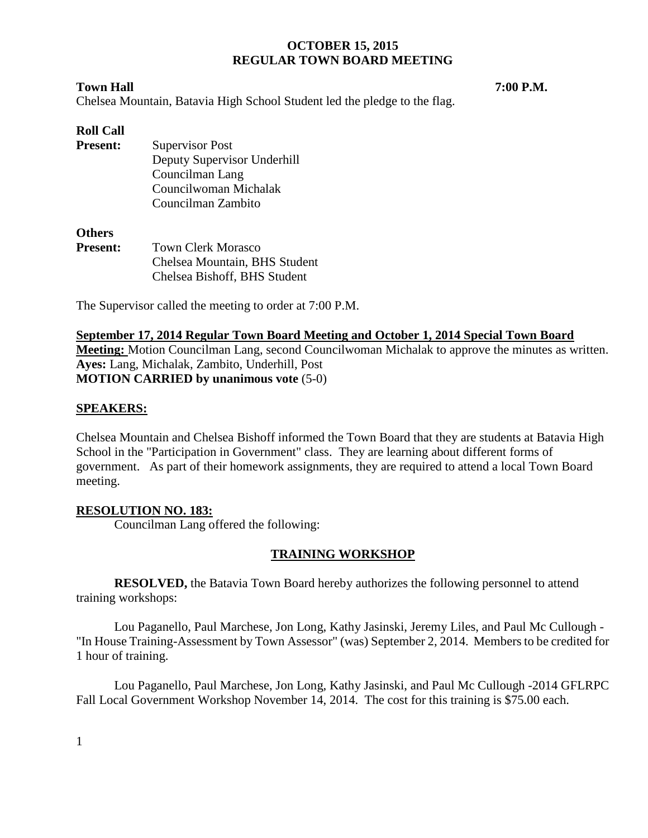### **Town Hall 7:00 P.M.**

Chelsea Mountain, Batavia High School Student led the pledge to the flag.

# **Roll Call**

**Present:** Supervisor Post Deputy Supervisor Underhill Councilman Lang Councilwoman Michalak Councilman Zambito

# **Others**

**Present:** Town Clerk Morasco Chelsea Mountain, BHS Student Chelsea Bishoff, BHS Student

The Supervisor called the meeting to order at 7:00 P.M.

# **September 17, 2014 Regular Town Board Meeting and October 1, 2014 Special Town Board Meeting:** Motion Councilman Lang, second Councilwoman Michalak to approve the minutes as written. **Ayes:** Lang, Michalak, Zambito, Underhill, Post **MOTION CARRIED by unanimous vote** (5-0)

# **SPEAKERS:**

Chelsea Mountain and Chelsea Bishoff informed the Town Board that they are students at Batavia High School in the "Participation in Government" class. They are learning about different forms of government. As part of their homework assignments, they are required to attend a local Town Board meeting.

# **RESOLUTION NO. 183:**

Councilman Lang offered the following:

# **TRAINING WORKSHOP**

**RESOLVED,** the Batavia Town Board hereby authorizes the following personnel to attend training workshops:

Lou Paganello, Paul Marchese, Jon Long, Kathy Jasinski, Jeremy Liles, and Paul Mc Cullough - "In House Training-Assessment by Town Assessor" (was) September 2, 2014. Members to be credited for 1 hour of training.

Lou Paganello, Paul Marchese, Jon Long, Kathy Jasinski, and Paul Mc Cullough -2014 GFLRPC Fall Local Government Workshop November 14, 2014. The cost for this training is \$75.00 each.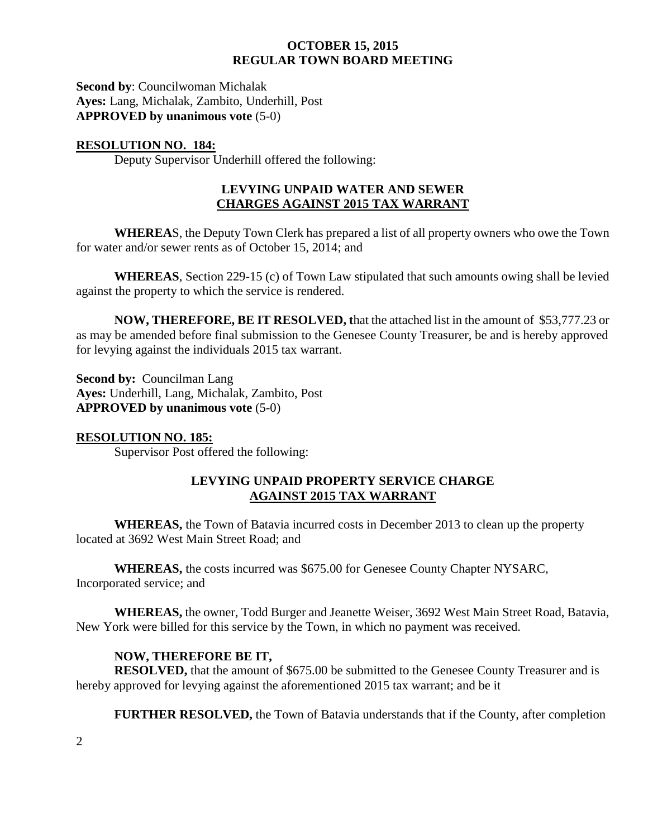**Second by**: Councilwoman Michalak **Ayes:** Lang, Michalak, Zambito, Underhill, Post **APPROVED by unanimous vote** (5-0)

# **RESOLUTION NO. 184:**

Deputy Supervisor Underhill offered the following:

# **LEVYING UNPAID WATER AND SEWER CHARGES AGAINST 2015 TAX WARRANT**

**WHEREA**S, the Deputy Town Clerk has prepared a list of all property owners who owe the Town for water and/or sewer rents as of October 15, 2014; and

**WHEREAS**, Section 229-15 (c) of Town Law stipulated that such amounts owing shall be levied against the property to which the service is rendered.

**NOW, THEREFORE, BE IT RESOLVED, t**hat the attached list in the amount of \$53,777.23 or as may be amended before final submission to the Genesee County Treasurer, be and is hereby approved for levying against the individuals 2015 tax warrant.

**Second by: Councilman Lang Ayes:** Underhill, Lang, Michalak, Zambito, Post **APPROVED by unanimous vote** (5-0)

# **RESOLUTION NO. 185:**

Supervisor Post offered the following:

# **LEVYING UNPAID PROPERTY SERVICE CHARGE AGAINST 2015 TAX WARRANT**

**WHEREAS,** the Town of Batavia incurred costs in December 2013 to clean up the property located at 3692 West Main Street Road; and

**WHEREAS,** the costs incurred was \$675.00 for Genesee County Chapter NYSARC, Incorporated service; and

**WHEREAS,** the owner, Todd Burger and Jeanette Weiser, 3692 West Main Street Road, Batavia, New York were billed for this service by the Town, in which no payment was received.

# **NOW, THEREFORE BE IT,**

**RESOLVED,** that the amount of \$675.00 be submitted to the Genesee County Treasurer and is hereby approved for levying against the aforementioned 2015 tax warrant; and be it

**FURTHER RESOLVED,** the Town of Batavia understands that if the County, after completion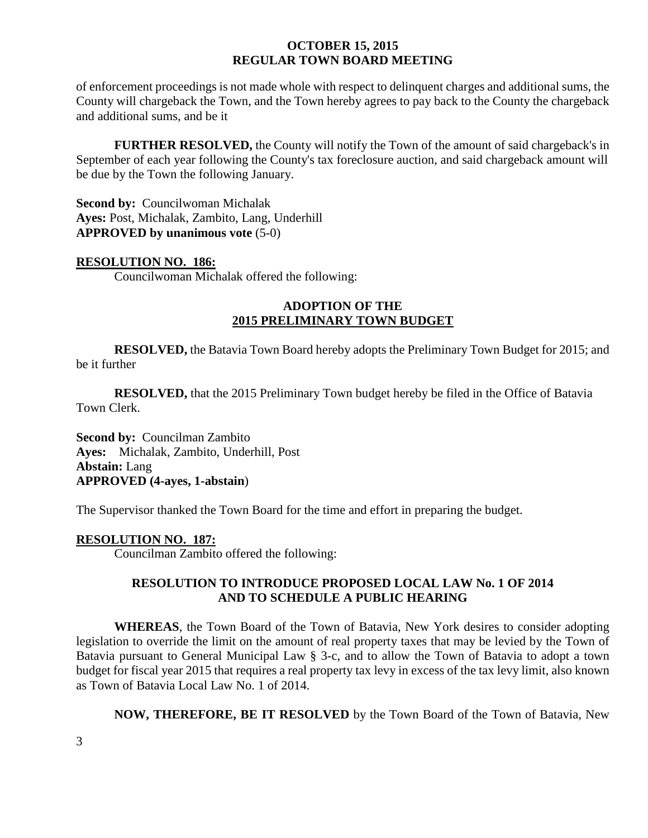of enforcement proceedings is not made whole with respect to delinquent charges and additional sums, the County will chargeback the Town, and the Town hereby agrees to pay back to the County the chargeback and additional sums, and be it

**FURTHER RESOLVED,** the County will notify the Town of the amount of said chargeback's in September of each year following the County's tax foreclosure auction, and said chargeback amount will be due by the Town the following January.

**Second by: Councilwoman Michalak Ayes:** Post, Michalak, Zambito, Lang, Underhill **APPROVED by unanimous vote** (5-0)

#### **RESOLUTION NO. 186:**

Councilwoman Michalak offered the following:

# **ADOPTION OF THE 2015 PRELIMINARY TOWN BUDGET**

**RESOLVED,** the Batavia Town Board hereby adopts the Preliminary Town Budget for 2015; and be it further

**RESOLVED,** that the 2015 Preliminary Town budget hereby be filed in the Office of Batavia Town Clerk.

**Second by:** Councilman Zambito **Ayes:** Michalak, Zambito, Underhill, Post **Abstain:** Lang **APPROVED (4-ayes, 1-abstain**)

The Supervisor thanked the Town Board for the time and effort in preparing the budget.

# **RESOLUTION NO. 187:**

Councilman Zambito offered the following:

# **RESOLUTION TO INTRODUCE PROPOSED LOCAL LAW No. 1 OF 2014 AND TO SCHEDULE A PUBLIC HEARING**

**WHEREAS**, the Town Board of the Town of Batavia, New York desires to consider adopting legislation to override the limit on the amount of real property taxes that may be levied by the Town of Batavia pursuant to General Municipal Law § 3-c, and to allow the Town of Batavia to adopt a town budget for fiscal year 2015 that requires a real property tax levy in excess of the tax levy limit, also known as Town of Batavia Local Law No. 1 of 2014.

**NOW, THEREFORE, BE IT RESOLVED** by the Town Board of the Town of Batavia, New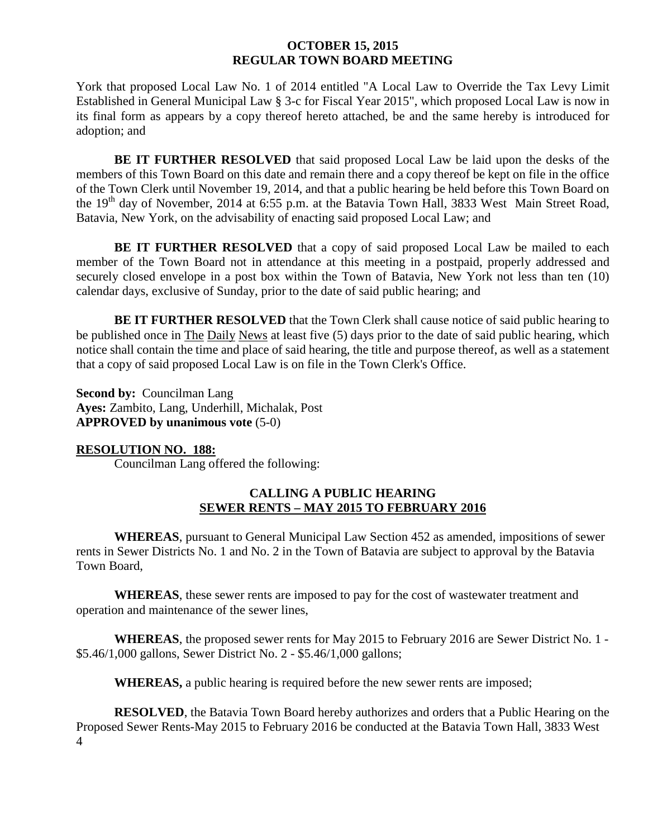York that proposed Local Law No. 1 of 2014 entitled "A Local Law to Override the Tax Levy Limit Established in General Municipal Law § 3-c for Fiscal Year 2015", which proposed Local Law is now in its final form as appears by a copy thereof hereto attached, be and the same hereby is introduced for adoption; and

**BE IT FURTHER RESOLVED** that said proposed Local Law be laid upon the desks of the members of this Town Board on this date and remain there and a copy thereof be kept on file in the office of the Town Clerk until November 19, 2014, and that a public hearing be held before this Town Board on the 19<sup>th</sup> day of November, 2014 at 6:55 p.m. at the Batavia Town Hall, 3833 West Main Street Road, Batavia, New York, on the advisability of enacting said proposed Local Law; and

**BE IT FURTHER RESOLVED** that a copy of said proposed Local Law be mailed to each member of the Town Board not in attendance at this meeting in a postpaid, properly addressed and securely closed envelope in a post box within the Town of Batavia, New York not less than ten (10) calendar days, exclusive of Sunday, prior to the date of said public hearing; and

**BE IT FURTHER RESOLVED** that the Town Clerk shall cause notice of said public hearing to be published once in The Daily News at least five (5) days prior to the date of said public hearing, which notice shall contain the time and place of said hearing, the title and purpose thereof, as well as a statement that a copy of said proposed Local Law is on file in the Town Clerk's Office.

**Second by: Councilman Lang Ayes:** Zambito, Lang, Underhill, Michalak, Post **APPROVED by unanimous vote** (5-0)

# **RESOLUTION NO. 188:**

Councilman Lang offered the following:

# **CALLING A PUBLIC HEARING SEWER RENTS – MAY 2015 TO FEBRUARY 2016**

**WHEREAS**, pursuant to General Municipal Law Section 452 as amended, impositions of sewer rents in Sewer Districts No. 1 and No. 2 in the Town of Batavia are subject to approval by the Batavia Town Board,

**WHEREAS**, these sewer rents are imposed to pay for the cost of wastewater treatment and operation and maintenance of the sewer lines,

**WHEREAS**, the proposed sewer rents for May 2015 to February 2016 are Sewer District No. 1 - \$5.46/1,000 gallons, Sewer District No. 2 - \$5.46/1,000 gallons;

**WHEREAS,** a public hearing is required before the new sewer rents are imposed;

4 **RESOLVED**, the Batavia Town Board hereby authorizes and orders that a Public Hearing on the Proposed Sewer Rents-May 2015 to February 2016 be conducted at the Batavia Town Hall, 3833 West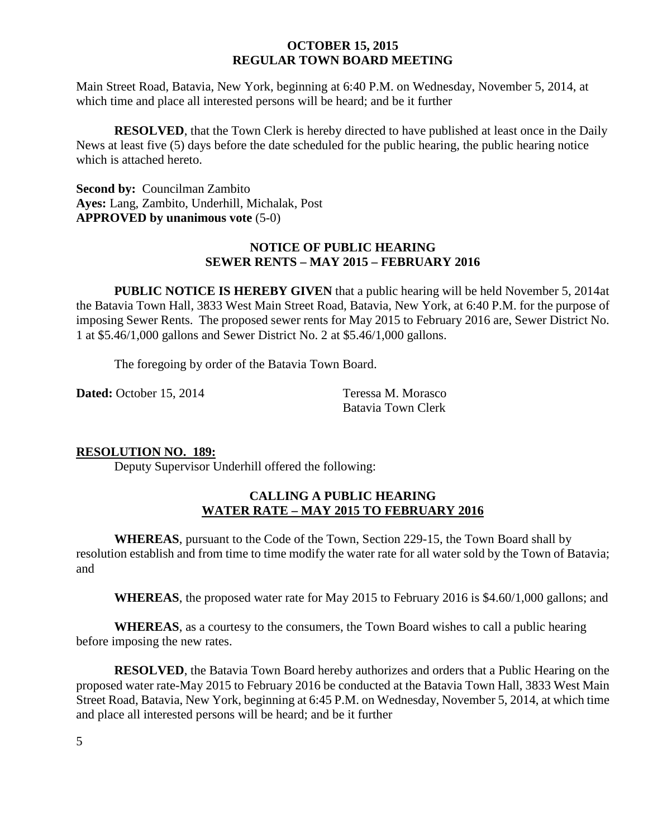Main Street Road, Batavia, New York, beginning at 6:40 P.M. on Wednesday, November 5, 2014, at which time and place all interested persons will be heard; and be it further

**RESOLVED**, that the Town Clerk is hereby directed to have published at least once in the Daily News at least five (5) days before the date scheduled for the public hearing, the public hearing notice which is attached hereto.

**Second by:** Councilman Zambito **Ayes:** Lang, Zambito, Underhill, Michalak, Post **APPROVED by unanimous vote** (5-0)

# **NOTICE OF PUBLIC HEARING SEWER RENTS – MAY 2015 – FEBRUARY 2016**

**PUBLIC NOTICE IS HEREBY GIVEN** that a public hearing will be held November 5, 2014at the Batavia Town Hall, 3833 West Main Street Road, Batavia, New York, at 6:40 P.M. for the purpose of imposing Sewer Rents. The proposed sewer rents for May 2015 to February 2016 are, Sewer District No. 1 at \$5.46/1,000 gallons and Sewer District No. 2 at \$5.46/1,000 gallons.

The foregoing by order of the Batavia Town Board.

**Dated:** October 15, 2014 Teressa M. Morasco

Batavia Town Clerk

# **RESOLUTION NO. 189:**

Deputy Supervisor Underhill offered the following:

# **CALLING A PUBLIC HEARING WATER RATE – MAY 2015 TO FEBRUARY 2016**

**WHEREAS**, pursuant to the Code of the Town, Section 229-15, the Town Board shall by resolution establish and from time to time modify the water rate for all water sold by the Town of Batavia; and

**WHEREAS**, the proposed water rate for May 2015 to February 2016 is \$4.60/1,000 gallons; and

**WHEREAS**, as a courtesy to the consumers, the Town Board wishes to call a public hearing before imposing the new rates.

**RESOLVED**, the Batavia Town Board hereby authorizes and orders that a Public Hearing on the proposed water rate-May 2015 to February 2016 be conducted at the Batavia Town Hall, 3833 West Main Street Road, Batavia, New York, beginning at 6:45 P.M. on Wednesday, November 5, 2014, at which time and place all interested persons will be heard; and be it further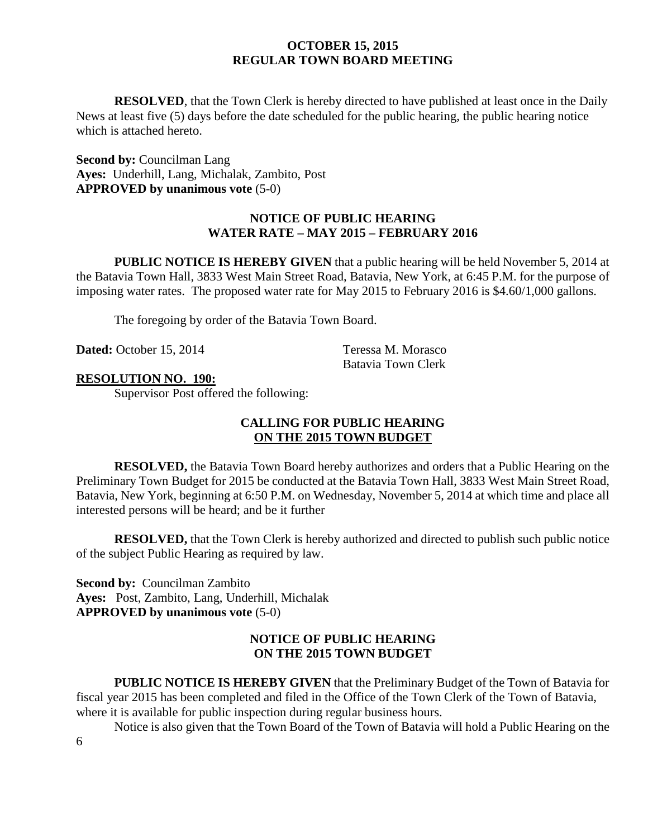**RESOLVED**, that the Town Clerk is hereby directed to have published at least once in the Daily News at least five (5) days before the date scheduled for the public hearing, the public hearing notice which is attached hereto.

**Second by:** Councilman Lang **Ayes:** Underhill, Lang, Michalak, Zambito, Post **APPROVED by unanimous vote** (5-0)

# **NOTICE OF PUBLIC HEARING WATER RATE – MAY 2015 – FEBRUARY 2016**

**PUBLIC NOTICE IS HEREBY GIVEN** that a public hearing will be held November 5, 2014 at the Batavia Town Hall, 3833 West Main Street Road, Batavia, New York, at 6:45 P.M. for the purpose of imposing water rates. The proposed water rate for May 2015 to February 2016 is \$4.60/1,000 gallons.

The foregoing by order of the Batavia Town Board.

**Dated:** October 15, 2014 Teressa M. Morasco

Batavia Town Clerk

# **RESOLUTION NO. 190:**

Supervisor Post offered the following:

# **CALLING FOR PUBLIC HEARING ON THE 2015 TOWN BUDGET**

**RESOLVED,** the Batavia Town Board hereby authorizes and orders that a Public Hearing on the Preliminary Town Budget for 2015 be conducted at the Batavia Town Hall, 3833 West Main Street Road, Batavia, New York, beginning at 6:50 P.M. on Wednesday, November 5, 2014 at which time and place all interested persons will be heard; and be it further

**RESOLVED,** that the Town Clerk is hereby authorized and directed to publish such public notice of the subject Public Hearing as required by law.

**Second by:** Councilman Zambito **Ayes:** Post, Zambito, Lang, Underhill, Michalak **APPROVED by unanimous vote** (5-0)

# **NOTICE OF PUBLIC HEARING ON THE 2015 TOWN BUDGET**

**PUBLIC NOTICE IS HEREBY GIVEN** that the Preliminary Budget of the Town of Batavia for fiscal year 2015 has been completed and filed in the Office of the Town Clerk of the Town of Batavia, where it is available for public inspection during regular business hours.

Notice is also given that the Town Board of the Town of Batavia will hold a Public Hearing on the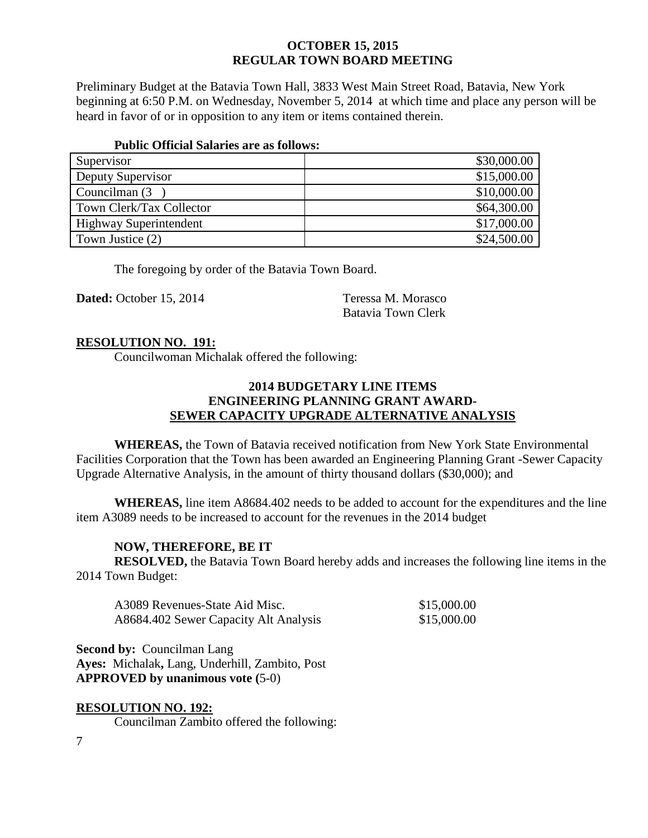Preliminary Budget at the Batavia Town Hall, 3833 West Main Street Road, Batavia, New York beginning at 6:50 P.M. on Wednesday, November 5, 2014 at which time and place any person will be heard in favor of or in opposition to any item or items contained therein.

#### **Public Official Salaries are as follows:**

| Supervisor                    | \$30,000.00 |
|-------------------------------|-------------|
| Deputy Supervisor             | \$15,000.00 |
| Councilman (3)                | \$10,000.00 |
| Town Clerk/Tax Collector      | \$64,300.00 |
| <b>Highway Superintendent</b> | \$17,000.00 |
| Town Justice (2)              | \$24,500.00 |

The foregoing by order of the Batavia Town Board.

**Dated:** October 15, 2014 Teressa M. Morasco

Batavia Town Clerk

# **RESOLUTION NO. 191:**

Councilwoman Michalak offered the following:

# **2014 BUDGETARY LINE ITEMS ENGINEERING PLANNING GRANT AWARD-SEWER CAPACITY UPGRADE ALTERNATIVE ANALYSIS**

**WHEREAS,** the Town of Batavia received notification from New York State Environmental Facilities Corporation that the Town has been awarded an Engineering Planning Grant -Sewer Capacity Upgrade Alternative Analysis, in the amount of thirty thousand dollars (\$30,000); and

**WHEREAS,** line item A8684.402 needs to be added to account for the expenditures and the line item A3089 needs to be increased to account for the revenues in the 2014 budget

# **NOW, THEREFORE, BE IT**

**RESOLVED,** the Batavia Town Board hereby adds and increases the following line items in the 2014 Town Budget:

| A3089 Revenues-State Aid Misc.        | \$15,000.00 |
|---------------------------------------|-------------|
| A8684.402 Sewer Capacity Alt Analysis | \$15,000.00 |

**Second by:** Councilman Lang **Ayes:** Michalak**,** Lang, Underhill, Zambito, Post **APPROVED by unanimous vote (**5-0)

# **RESOLUTION NO. 192:**

Councilman Zambito offered the following: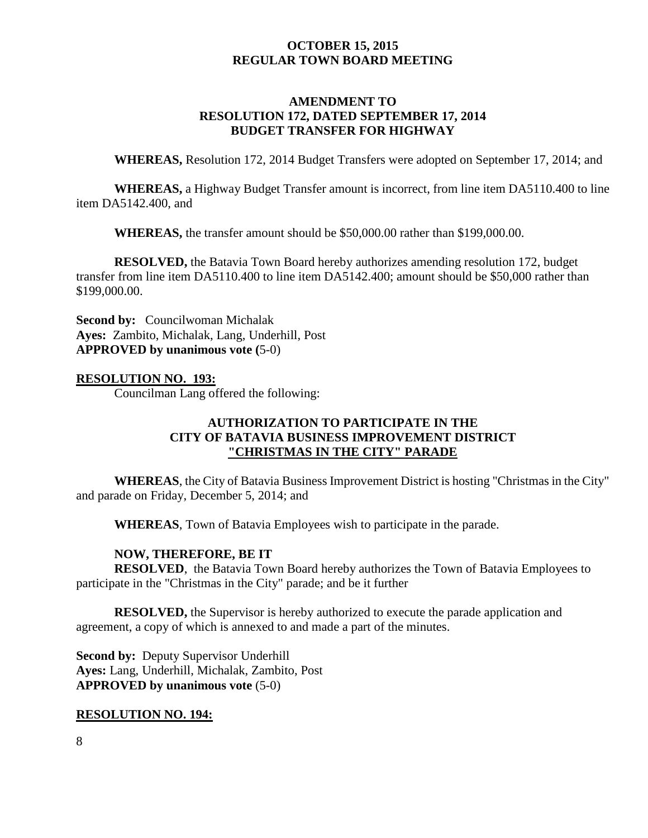# **AMENDMENT TO RESOLUTION 172, DATED SEPTEMBER 17, 2014 BUDGET TRANSFER FOR HIGHWAY**

**WHEREAS,** Resolution 172, 2014 Budget Transfers were adopted on September 17, 2014; and

**WHEREAS,** a Highway Budget Transfer amount is incorrect, from line item DA5110.400 to line item DA5142.400, and

**WHEREAS,** the transfer amount should be \$50,000.00 rather than \$199,000.00.

**RESOLVED,** the Batavia Town Board hereby authorizes amending resolution 172, budget transfer from line item DA5110.400 to line item DA5142.400; amount should be \$50,000 rather than \$199,000.00.

**Second by: Councilwoman Michalak Ayes:** Zambito, Michalak, Lang, Underhill, Post **APPROVED by unanimous vote (**5-0)

#### **RESOLUTION NO. 193:**

Councilman Lang offered the following:

# **AUTHORIZATION TO PARTICIPATE IN THE CITY OF BATAVIA BUSINESS IMPROVEMENT DISTRICT "CHRISTMAS IN THE CITY" PARADE**

**WHEREAS**, the City of Batavia Business Improvement District is hosting "Christmas in the City" and parade on Friday, December 5, 2014; and

**WHEREAS**, Town of Batavia Employees wish to participate in the parade.

#### **NOW, THEREFORE, BE IT**

**RESOLVED**, the Batavia Town Board hereby authorizes the Town of Batavia Employees to participate in the "Christmas in the City" parade; and be it further

**RESOLVED,** the Supervisor is hereby authorized to execute the parade application and agreement, a copy of which is annexed to and made a part of the minutes.

**Second by: Deputy Supervisor Underhill Ayes:** Lang, Underhill, Michalak, Zambito, Post **APPROVED by unanimous vote** (5-0)

#### **RESOLUTION NO. 194:**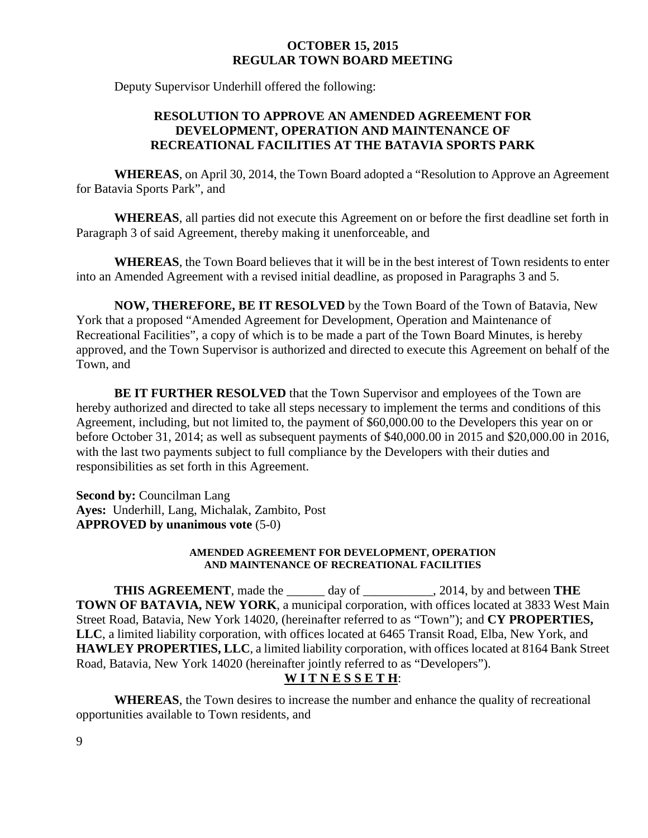Deputy Supervisor Underhill offered the following:

# **RESOLUTION TO APPROVE AN AMENDED AGREEMENT FOR DEVELOPMENT, OPERATION AND MAINTENANCE OF RECREATIONAL FACILITIES AT THE BATAVIA SPORTS PARK**

**WHEREAS**, on April 30, 2014, the Town Board adopted a "Resolution to Approve an Agreement for Batavia Sports Park", and

**WHEREAS**, all parties did not execute this Agreement on or before the first deadline set forth in Paragraph 3 of said Agreement, thereby making it unenforceable, and

**WHEREAS**, the Town Board believes that it will be in the best interest of Town residents to enter into an Amended Agreement with a revised initial deadline, as proposed in Paragraphs 3 and 5.

**NOW, THEREFORE, BE IT RESOLVED** by the Town Board of the Town of Batavia, New York that a proposed "Amended Agreement for Development, Operation and Maintenance of Recreational Facilities", a copy of which is to be made a part of the Town Board Minutes, is hereby approved, and the Town Supervisor is authorized and directed to execute this Agreement on behalf of the Town, and

**BE IT FURTHER RESOLVED** that the Town Supervisor and employees of the Town are hereby authorized and directed to take all steps necessary to implement the terms and conditions of this Agreement, including, but not limited to, the payment of \$60,000.00 to the Developers this year on or before October 31, 2014; as well as subsequent payments of \$40,000.00 in 2015 and \$20,000.00 in 2016, with the last two payments subject to full compliance by the Developers with their duties and responsibilities as set forth in this Agreement.

**Second by:** Councilman Lang **Ayes:** Underhill, Lang, Michalak, Zambito, Post **APPROVED by unanimous vote** (5-0)

#### **AMENDED AGREEMENT FOR DEVELOPMENT, OPERATION AND MAINTENANCE OF RECREATIONAL FACILITIES**

**THIS AGREEMENT**, made the \_\_\_\_\_\_ day of \_\_\_\_\_\_\_\_\_\_\_, 2014, by and between **THE TOWN OF BATAVIA, NEW YORK**, a municipal corporation, with offices located at 3833 West Main Street Road, Batavia, New York 14020, (hereinafter referred to as "Town"); and **CY PROPERTIES, LLC**, a limited liability corporation, with offices located at 6465 Transit Road, Elba, New York, and **HAWLEY PROPERTIES, LLC**, a limited liability corporation, with offices located at 8164 Bank Street Road, Batavia, New York 14020 (hereinafter jointly referred to as "Developers").

# **W I T N E S S E T H**:

**WHEREAS**, the Town desires to increase the number and enhance the quality of recreational opportunities available to Town residents, and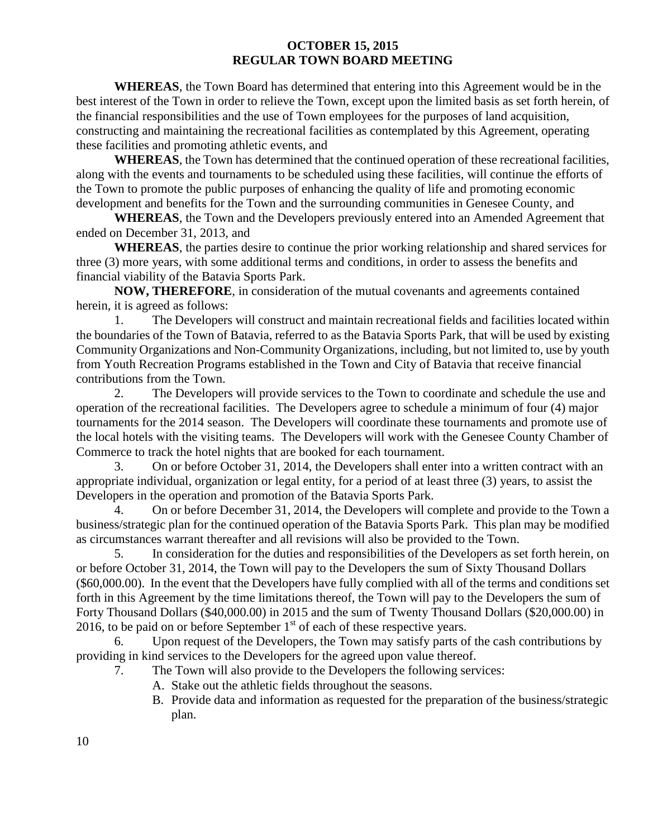**WHEREAS**, the Town Board has determined that entering into this Agreement would be in the best interest of the Town in order to relieve the Town, except upon the limited basis as set forth herein, of the financial responsibilities and the use of Town employees for the purposes of land acquisition, constructing and maintaining the recreational facilities as contemplated by this Agreement, operating these facilities and promoting athletic events, and

**WHEREAS**, the Town has determined that the continued operation of these recreational facilities, along with the events and tournaments to be scheduled using these facilities, will continue the efforts of the Town to promote the public purposes of enhancing the quality of life and promoting economic development and benefits for the Town and the surrounding communities in Genesee County, and

**WHEREAS**, the Town and the Developers previously entered into an Amended Agreement that ended on December 31, 2013, and

**WHEREAS**, the parties desire to continue the prior working relationship and shared services for three (3) more years, with some additional terms and conditions, in order to assess the benefits and financial viability of the Batavia Sports Park.

**NOW, THEREFORE**, in consideration of the mutual covenants and agreements contained herein, it is agreed as follows:

1. The Developers will construct and maintain recreational fields and facilities located within the boundaries of the Town of Batavia, referred to as the Batavia Sports Park, that will be used by existing Community Organizations and Non-Community Organizations, including, but not limited to, use by youth from Youth Recreation Programs established in the Town and City of Batavia that receive financial contributions from the Town.

2. The Developers will provide services to the Town to coordinate and schedule the use and operation of the recreational facilities. The Developers agree to schedule a minimum of four (4) major tournaments for the 2014 season. The Developers will coordinate these tournaments and promote use of the local hotels with the visiting teams. The Developers will work with the Genesee County Chamber of Commerce to track the hotel nights that are booked for each tournament.

3. On or before October 31, 2014, the Developers shall enter into a written contract with an appropriate individual, organization or legal entity, for a period of at least three (3) years, to assist the Developers in the operation and promotion of the Batavia Sports Park.

4. On or before December 31, 2014, the Developers will complete and provide to the Town a business/strategic plan for the continued operation of the Batavia Sports Park. This plan may be modified as circumstances warrant thereafter and all revisions will also be provided to the Town.

5. In consideration for the duties and responsibilities of the Developers as set forth herein, on or before October 31, 2014, the Town will pay to the Developers the sum of Sixty Thousand Dollars (\$60,000.00). In the event that the Developers have fully complied with all of the terms and conditions set forth in this Agreement by the time limitations thereof, the Town will pay to the Developers the sum of Forty Thousand Dollars (\$40,000.00) in 2015 and the sum of Twenty Thousand Dollars (\$20,000.00) in 2016, to be paid on or before September  $1<sup>st</sup>$  of each of these respective years.

Upon request of the Developers, the Town may satisfy parts of the cash contributions by providing in kind services to the Developers for the agreed upon value thereof.

- 7. The Town will also provide to the Developers the following services:
	- A. Stake out the athletic fields throughout the seasons.
	- B. Provide data and information as requested for the preparation of the business/strategic plan.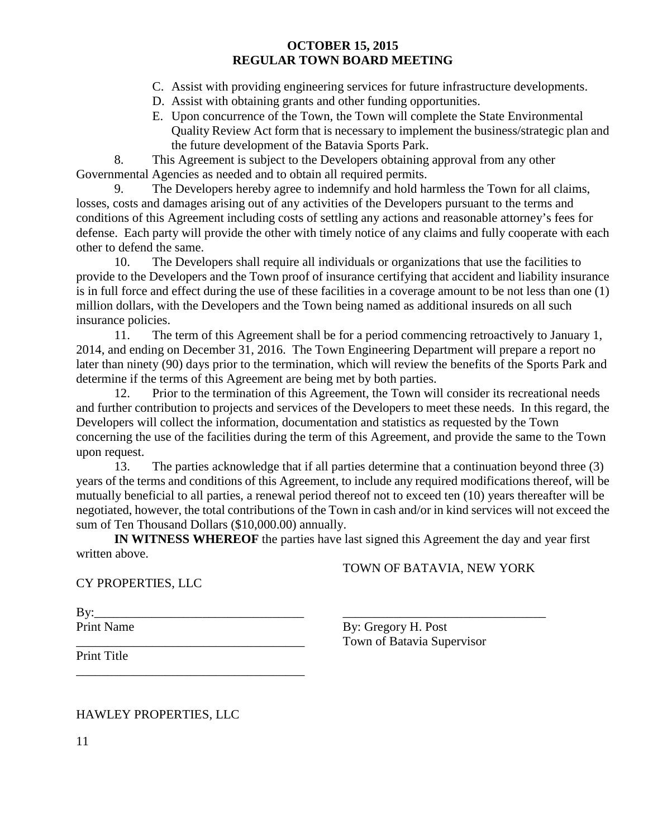- C. Assist with providing engineering services for future infrastructure developments.
- D. Assist with obtaining grants and other funding opportunities.
- E. Upon concurrence of the Town, the Town will complete the State Environmental Quality Review Act form that is necessary to implement the business/strategic plan and the future development of the Batavia Sports Park.

8. This Agreement is subject to the Developers obtaining approval from any other Governmental Agencies as needed and to obtain all required permits.

9. The Developers hereby agree to indemnify and hold harmless the Town for all claims, losses, costs and damages arising out of any activities of the Developers pursuant to the terms and conditions of this Agreement including costs of settling any actions and reasonable attorney's fees for defense. Each party will provide the other with timely notice of any claims and fully cooperate with each other to defend the same.

10. The Developers shall require all individuals or organizations that use the facilities to provide to the Developers and the Town proof of insurance certifying that accident and liability insurance is in full force and effect during the use of these facilities in a coverage amount to be not less than one (1) million dollars, with the Developers and the Town being named as additional insureds on all such insurance policies.

11. The term of this Agreement shall be for a period commencing retroactively to January 1, 2014, and ending on December 31, 2016. The Town Engineering Department will prepare a report no later than ninety (90) days prior to the termination, which will review the benefits of the Sports Park and determine if the terms of this Agreement are being met by both parties.

12. Prior to the termination of this Agreement, the Town will consider its recreational needs and further contribution to projects and services of the Developers to meet these needs. In this regard, the Developers will collect the information, documentation and statistics as requested by the Town concerning the use of the facilities during the term of this Agreement, and provide the same to the Town upon request.

13. The parties acknowledge that if all parties determine that a continuation beyond three (3) years of the terms and conditions of this Agreement, to include any required modifications thereof, will be mutually beneficial to all parties, a renewal period thereof not to exceed ten (10) years thereafter will be negotiated, however, the total contributions of the Town in cash and/or in kind services will not exceed the sum of Ten Thousand Dollars (\$10,000.00) annually.

**IN WITNESS WHEREOF** the parties have last signed this Agreement the day and year first written above.

# TOWN OF BATAVIA, NEW YORK

# CY PROPERTIES, LLC

By:\_\_\_\_\_\_\_\_\_\_\_\_\_\_\_\_\_\_\_\_\_\_\_\_\_\_\_\_\_\_\_\_\_ \_\_\_\_\_\_\_\_\_\_\_\_\_\_\_\_\_\_\_\_\_\_\_\_\_\_\_\_\_\_\_\_ Print Name By: Gregory H. Post

Town of Batavia Supervisor

Print Title

HAWLEY PROPERTIES, LLC

\_\_\_\_\_\_\_\_\_\_\_\_\_\_\_\_\_\_\_\_\_\_\_\_\_\_\_\_\_\_\_\_\_\_\_\_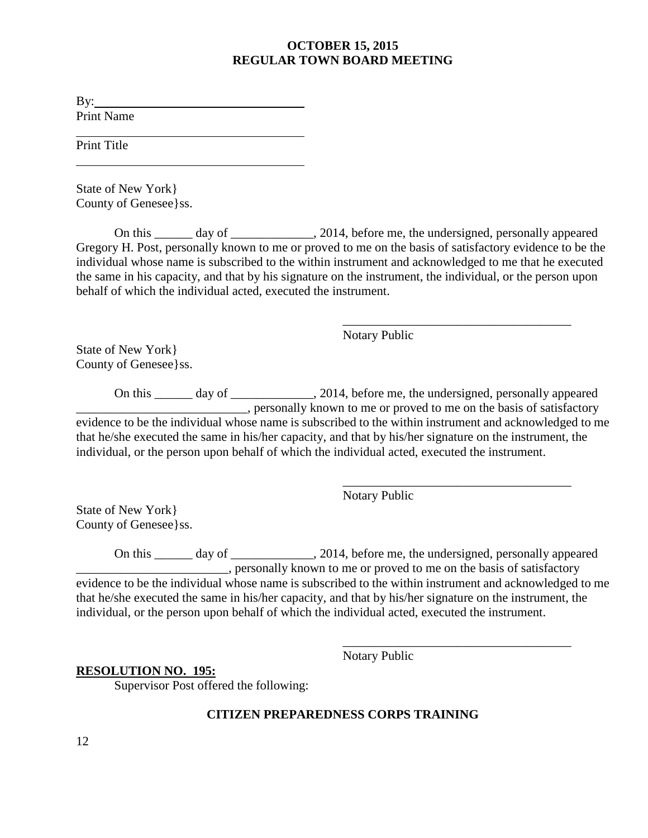By:  $\blacksquare$ Print Name

Print Title

State of New York} County of Genesee}ss.

On this day of  $\qquad \qquad .2014$ , before me, the undersigned, personally appeared Gregory H. Post, personally known to me or proved to me on the basis of satisfactory evidence to be the individual whose name is subscribed to the within instrument and acknowledged to me that he executed the same in his capacity, and that by his signature on the instrument, the individual, or the person upon behalf of which the individual acted, executed the instrument.

> \_\_\_\_\_\_\_\_\_\_\_\_\_\_\_\_\_\_\_\_\_\_\_\_\_\_\_\_\_\_\_\_\_\_\_\_ Notary Public

State of New York} County of Genesee}ss.

On this \_\_\_\_\_\_ day of \_\_\_\_\_\_\_\_\_\_\_, 2014, before me, the undersigned, personally appeared  $\overline{\phantom{a}}$ , personally known to me or proved to me on the basis of satisfactory evidence to be the individual whose name is subscribed to the within instrument and acknowledged to me that he/she executed the same in his/her capacity, and that by his/her signature on the instrument, the individual, or the person upon behalf of which the individual acted, executed the instrument.

Notary Public

\_\_\_\_\_\_\_\_\_\_\_\_\_\_\_\_\_\_\_\_\_\_\_\_\_\_\_\_\_\_\_\_\_\_\_\_

\_\_\_\_\_\_\_\_\_\_\_\_\_\_\_\_\_\_\_\_\_\_\_\_\_\_\_\_\_\_\_\_\_\_\_\_

State of New York} County of Genesee}ss.

On this \_\_\_\_\_\_ day of \_\_\_\_\_\_\_\_\_\_\_, 2014, before me, the undersigned, personally appeared \_\_\_\_\_\_\_\_\_\_\_\_\_\_\_\_\_\_\_\_\_\_\_\_, personally known to me or proved to me on the basis of satisfactory evidence to be the individual whose name is subscribed to the within instrument and acknowledged to me that he/she executed the same in his/her capacity, and that by his/her signature on the instrument, the individual, or the person upon behalf of which the individual acted, executed the instrument.

Notary Public

# **RESOLUTION NO. 195:**

Supervisor Post offered the following:

# **CITIZEN PREPAREDNESS CORPS TRAINING**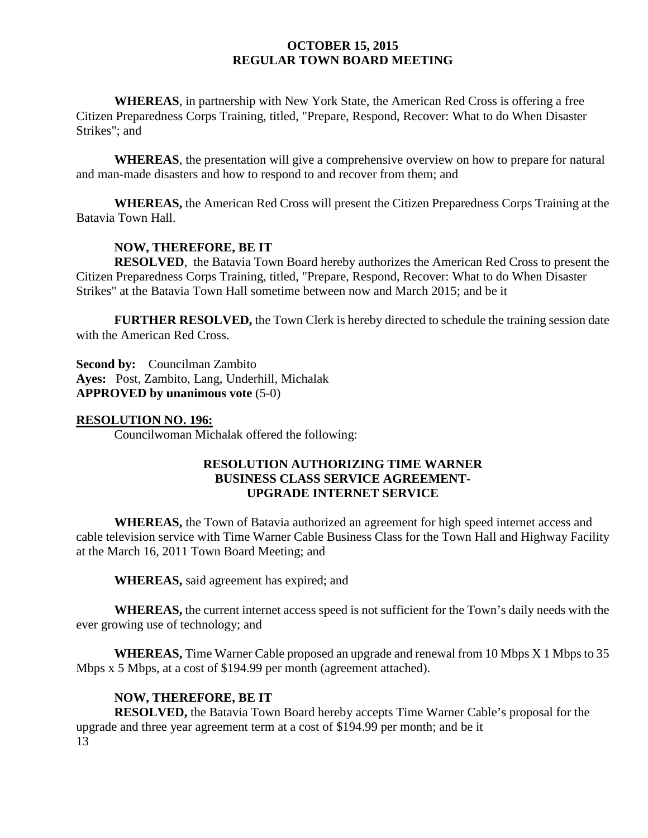**WHEREAS**, in partnership with New York State, the American Red Cross is offering a free Citizen Preparedness Corps Training, titled, "Prepare, Respond, Recover: What to do When Disaster Strikes"; and

**WHEREAS**, the presentation will give a comprehensive overview on how to prepare for natural and man-made disasters and how to respond to and recover from them; and

**WHEREAS,** the American Red Cross will present the Citizen Preparedness Corps Training at the Batavia Town Hall.

# **NOW, THEREFORE, BE IT**

**RESOLVED**, the Batavia Town Board hereby authorizes the American Red Cross to present the Citizen Preparedness Corps Training, titled, "Prepare, Respond, Recover: What to do When Disaster Strikes" at the Batavia Town Hall sometime between now and March 2015; and be it

**FURTHER RESOLVED,** the Town Clerk is hereby directed to schedule the training session date with the American Red Cross.

**Second by:** Councilman Zambito **Ayes:** Post, Zambito, Lang, Underhill, Michalak **APPROVED by unanimous vote** (5-0)

#### **RESOLUTION NO. 196:**

Councilwoman Michalak offered the following:

# **RESOLUTION AUTHORIZING TIME WARNER BUSINESS CLASS SERVICE AGREEMENT-UPGRADE INTERNET SERVICE**

**WHEREAS,** the Town of Batavia authorized an agreement for high speed internet access and cable television service with Time Warner Cable Business Class for the Town Hall and Highway Facility at the March 16, 2011 Town Board Meeting; and

**WHEREAS,** said agreement has expired; and

**WHEREAS,** the current internet access speed is not sufficient for the Town's daily needs with the ever growing use of technology; and

**WHEREAS,** Time Warner Cable proposed an upgrade and renewal from 10 Mbps X 1 Mbps to 35 Mbps x 5 Mbps, at a cost of \$194.99 per month (agreement attached).

# **NOW, THEREFORE, BE IT**

13 **RESOLVED,** the Batavia Town Board hereby accepts Time Warner Cable's proposal for the upgrade and three year agreement term at a cost of \$194.99 per month; and be it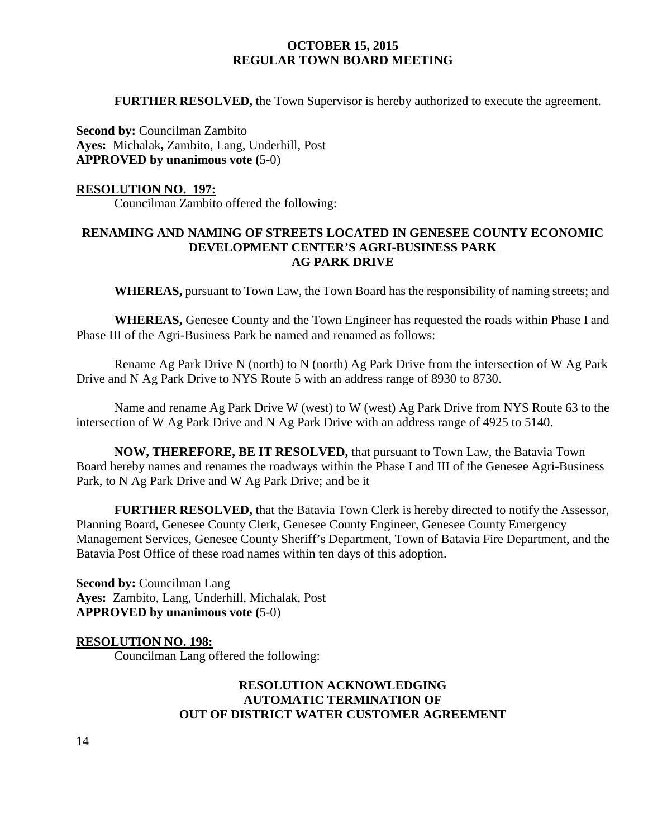**FURTHER RESOLVED, the Town Supervisor is hereby authorized to execute the agreement.** 

**Second by: Councilman Zambito Ayes:** Michalak**,** Zambito, Lang, Underhill, Post **APPROVED by unanimous vote (**5-0)

### **RESOLUTION NO. 197:**

Councilman Zambito offered the following:

# **RENAMING AND NAMING OF STREETS LOCATED IN GENESEE COUNTY ECONOMIC DEVELOPMENT CENTER'S AGRI-BUSINESS PARK AG PARK DRIVE**

**WHEREAS,** pursuant to Town Law, the Town Board has the responsibility of naming streets; and

**WHEREAS,** Genesee County and the Town Engineer has requested the roads within Phase I and Phase III of the Agri-Business Park be named and renamed as follows:

Rename Ag Park Drive N (north) to N (north) Ag Park Drive from the intersection of W Ag Park Drive and N Ag Park Drive to NYS Route 5 with an address range of 8930 to 8730.

Name and rename Ag Park Drive W (west) to W (west) Ag Park Drive from NYS Route 63 to the intersection of W Ag Park Drive and N Ag Park Drive with an address range of 4925 to 5140.

**NOW, THEREFORE, BE IT RESOLVED,** that pursuant to Town Law, the Batavia Town Board hereby names and renames the roadways within the Phase I and III of the Genesee Agri-Business Park, to N Ag Park Drive and W Ag Park Drive; and be it

**FURTHER RESOLVED,** that the Batavia Town Clerk is hereby directed to notify the Assessor, Planning Board, Genesee County Clerk, Genesee County Engineer, Genesee County Emergency Management Services, Genesee County Sheriff's Department, Town of Batavia Fire Department, and the Batavia Post Office of these road names within ten days of this adoption.

**Second by: Councilman Lang Ayes:** Zambito, Lang, Underhill, Michalak, Post **APPROVED by unanimous vote (**5-0)

# **RESOLUTION NO. 198:**

Councilman Lang offered the following:

# **RESOLUTION ACKNOWLEDGING AUTOMATIC TERMINATION OF OUT OF DISTRICT WATER CUSTOMER AGREEMENT**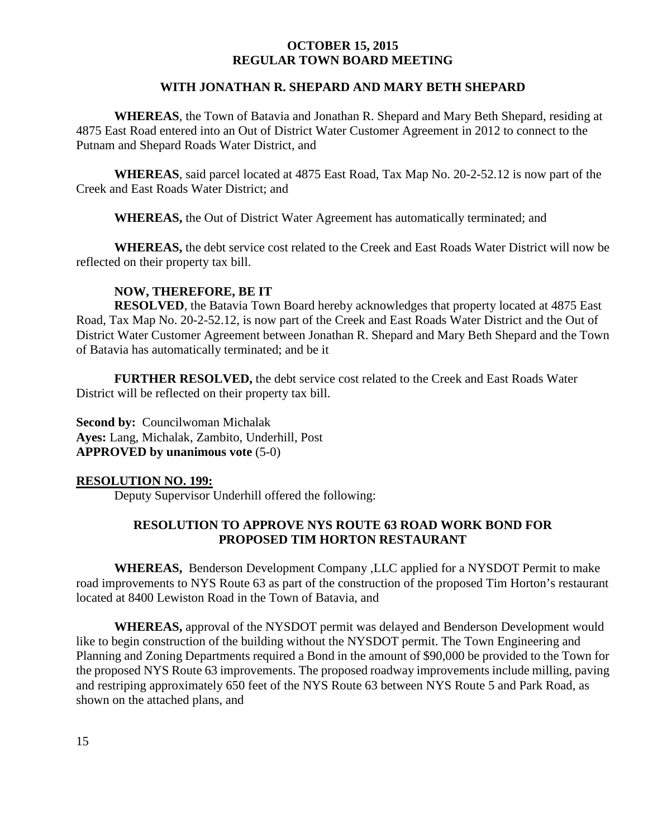### **WITH JONATHAN R. SHEPARD AND MARY BETH SHEPARD**

**WHEREAS**, the Town of Batavia and Jonathan R. Shepard and Mary Beth Shepard, residing at 4875 East Road entered into an Out of District Water Customer Agreement in 2012 to connect to the Putnam and Shepard Roads Water District, and

**WHEREAS**, said parcel located at 4875 East Road, Tax Map No. 20-2-52.12 is now part of the Creek and East Roads Water District; and

**WHEREAS,** the Out of District Water Agreement has automatically terminated; and

**WHEREAS,** the debt service cost related to the Creek and East Roads Water District will now be reflected on their property tax bill.

# **NOW, THEREFORE, BE IT**

**RESOLVED**, the Batavia Town Board hereby acknowledges that property located at 4875 East Road, Tax Map No. 20-2-52.12, is now part of the Creek and East Roads Water District and the Out of District Water Customer Agreement between Jonathan R. Shepard and Mary Beth Shepard and the Town of Batavia has automatically terminated; and be it

**FURTHER RESOLVED,** the debt service cost related to the Creek and East Roads Water District will be reflected on their property tax bill.

**Second by: Councilwoman Michalak Ayes:** Lang, Michalak, Zambito, Underhill, Post **APPROVED by unanimous vote** (5-0)

#### **RESOLUTION NO. 199:**

Deputy Supervisor Underhill offered the following:

# **RESOLUTION TO APPROVE NYS ROUTE 63 ROAD WORK BOND FOR PROPOSED TIM HORTON RESTAURANT**

**WHEREAS,** Benderson Development Company ,LLC applied for a NYSDOT Permit to make road improvements to NYS Route 63 as part of the construction of the proposed Tim Horton's restaurant located at 8400 Lewiston Road in the Town of Batavia, and

**WHEREAS,** approval of the NYSDOT permit was delayed and Benderson Development would like to begin construction of the building without the NYSDOT permit. The Town Engineering and Planning and Zoning Departments required a Bond in the amount of \$90,000 be provided to the Town for the proposed NYS Route 63 improvements. The proposed roadway improvements include milling, paving and restriping approximately 650 feet of the NYS Route 63 between NYS Route 5 and Park Road, as shown on the attached plans, and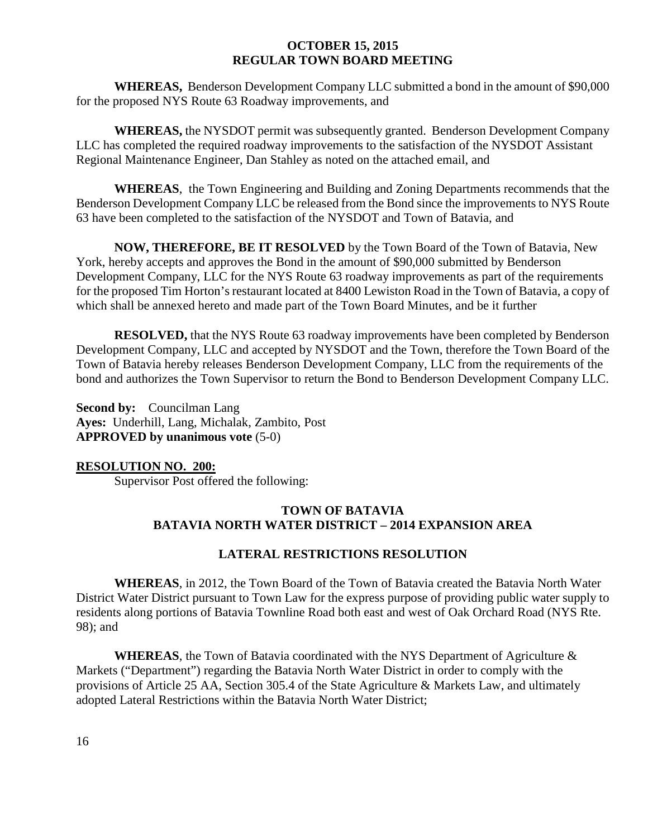**WHEREAS,** Benderson Development Company LLC submitted a bond in the amount of \$90,000 for the proposed NYS Route 63 Roadway improvements, and

**WHEREAS,** the NYSDOT permit was subsequently granted. Benderson Development Company LLC has completed the required roadway improvements to the satisfaction of the NYSDOT Assistant Regional Maintenance Engineer, Dan Stahley as noted on the attached email, and

**WHEREAS**, the Town Engineering and Building and Zoning Departments recommends that the Benderson Development Company LLC be released from the Bond since the improvements to NYS Route 63 have been completed to the satisfaction of the NYSDOT and Town of Batavia, and

**NOW, THEREFORE, BE IT RESOLVED** by the Town Board of the Town of Batavia, New York, hereby accepts and approves the Bond in the amount of \$90,000 submitted by Benderson Development Company, LLC for the NYS Route 63 roadway improvements as part of the requirements for the proposed Tim Horton's restaurant located at 8400 Lewiston Road in the Town of Batavia, a copy of which shall be annexed hereto and made part of the Town Board Minutes, and be it further

**RESOLVED,** that the NYS Route 63 roadway improvements have been completed by Benderson Development Company, LLC and accepted by NYSDOT and the Town, therefore the Town Board of the Town of Batavia hereby releases Benderson Development Company, LLC from the requirements of the bond and authorizes the Town Supervisor to return the Bond to Benderson Development Company LLC.

**Second by:** Councilman Lang **Ayes:** Underhill, Lang, Michalak, Zambito, Post **APPROVED by unanimous vote** (5-0)

# **RESOLUTION NO. 200:**

Supervisor Post offered the following:

# **TOWN OF BATAVIA BATAVIA NORTH WATER DISTRICT – 2014 EXPANSION AREA**

# **LATERAL RESTRICTIONS RESOLUTION**

**WHEREAS**, in 2012, the Town Board of the Town of Batavia created the Batavia North Water District Water District pursuant to Town Law for the express purpose of providing public water supply to residents along portions of Batavia Townline Road both east and west of Oak Orchard Road (NYS Rte. 98); and

**WHEREAS**, the Town of Batavia coordinated with the NYS Department of Agriculture & Markets ("Department") regarding the Batavia North Water District in order to comply with the provisions of Article 25 AA, Section 305.4 of the State Agriculture & Markets Law, and ultimately adopted Lateral Restrictions within the Batavia North Water District;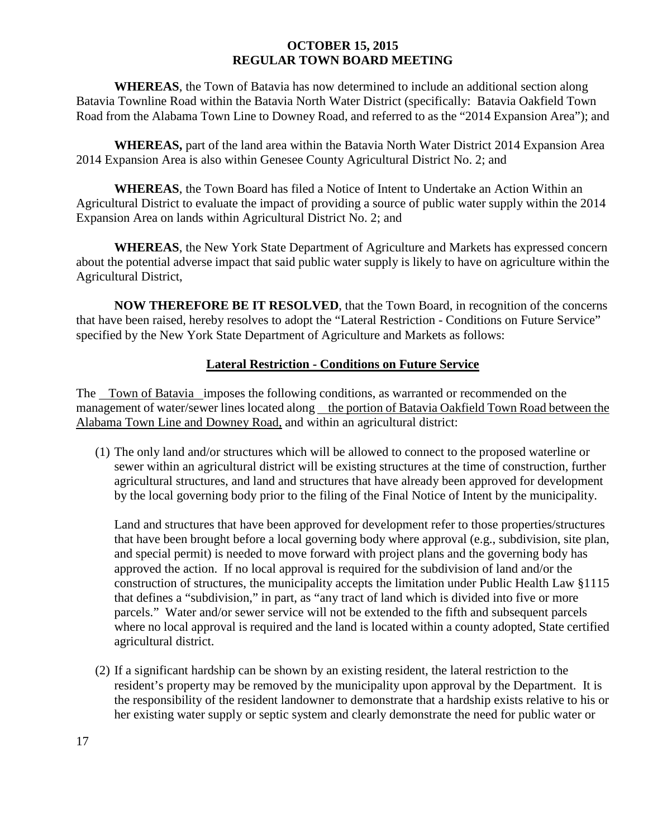**WHEREAS**, the Town of Batavia has now determined to include an additional section along Batavia Townline Road within the Batavia North Water District (specifically: Batavia Oakfield Town Road from the Alabama Town Line to Downey Road, and referred to as the "2014 Expansion Area"); and

**WHEREAS,** part of the land area within the Batavia North Water District 2014 Expansion Area 2014 Expansion Area is also within Genesee County Agricultural District No. 2; and

**WHEREAS**, the Town Board has filed a Notice of Intent to Undertake an Action Within an Agricultural District to evaluate the impact of providing a source of public water supply within the 2014 Expansion Area on lands within Agricultural District No. 2; and

**WHEREAS**, the New York State Department of Agriculture and Markets has expressed concern about the potential adverse impact that said public water supply is likely to have on agriculture within the Agricultural District,

**NOW THEREFORE BE IT RESOLVED**, that the Town Board, in recognition of the concerns that have been raised, hereby resolves to adopt the "Lateral Restriction - Conditions on Future Service" specified by the New York State Department of Agriculture and Markets as follows:

# **Lateral Restriction - Conditions on Future Service**

The Town of Batavia imposes the following conditions, as warranted or recommended on the management of water/sewer lines located along the portion of Batavia Oakfield Town Road between the Alabama Town Line and Downey Road, and within an agricultural district:

(1) The only land and/or structures which will be allowed to connect to the proposed waterline or sewer within an agricultural district will be existing structures at the time of construction, further agricultural structures, and land and structures that have already been approved for development by the local governing body prior to the filing of the Final Notice of Intent by the municipality.

Land and structures that have been approved for development refer to those properties/structures that have been brought before a local governing body where approval (e.g., subdivision, site plan, and special permit) is needed to move forward with project plans and the governing body has approved the action. If no local approval is required for the subdivision of land and/or the construction of structures, the municipality accepts the limitation under Public Health Law §1115 that defines a "subdivision," in part, as "any tract of land which is divided into five or more parcels." Water and/or sewer service will not be extended to the fifth and subsequent parcels where no local approval is required and the land is located within a county adopted, State certified agricultural district.

(2) If a significant hardship can be shown by an existing resident, the lateral restriction to the resident's property may be removed by the municipality upon approval by the Department. It is the responsibility of the resident landowner to demonstrate that a hardship exists relative to his or her existing water supply or septic system and clearly demonstrate the need for public water or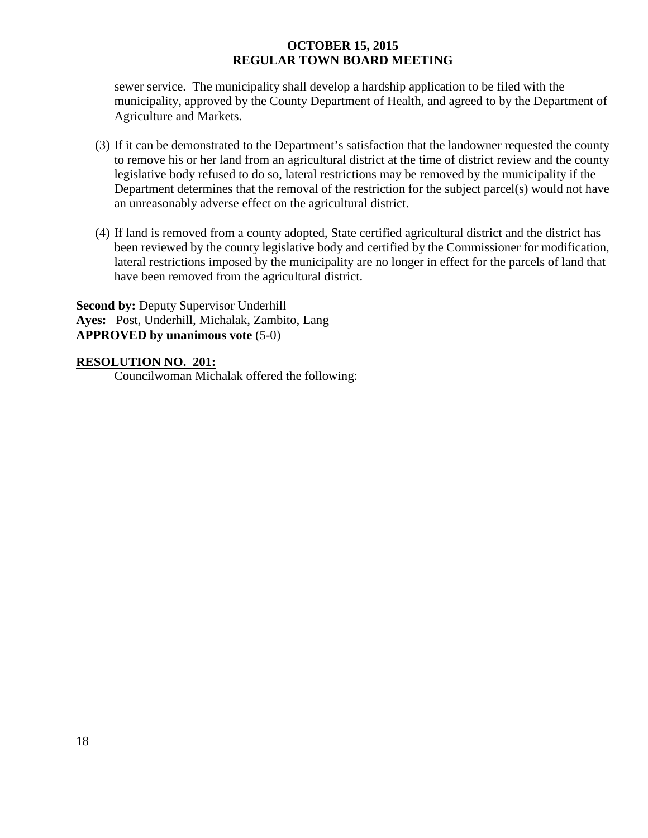sewer service. The municipality shall develop a hardship application to be filed with the municipality, approved by the County Department of Health, and agreed to by the Department of Agriculture and Markets.

- (3) If it can be demonstrated to the Department's satisfaction that the landowner requested the county to remove his or her land from an agricultural district at the time of district review and the county legislative body refused to do so, lateral restrictions may be removed by the municipality if the Department determines that the removal of the restriction for the subject parcel(s) would not have an unreasonably adverse effect on the agricultural district.
- (4) If land is removed from a county adopted, State certified agricultural district and the district has been reviewed by the county legislative body and certified by the Commissioner for modification, lateral restrictions imposed by the municipality are no longer in effect for the parcels of land that have been removed from the agricultural district.

**Second by:** Deputy Supervisor Underhill **Ayes:** Post, Underhill, Michalak, Zambito, Lang **APPROVED by unanimous vote** (5-0)

# **RESOLUTION NO. 201:**

Councilwoman Michalak offered the following: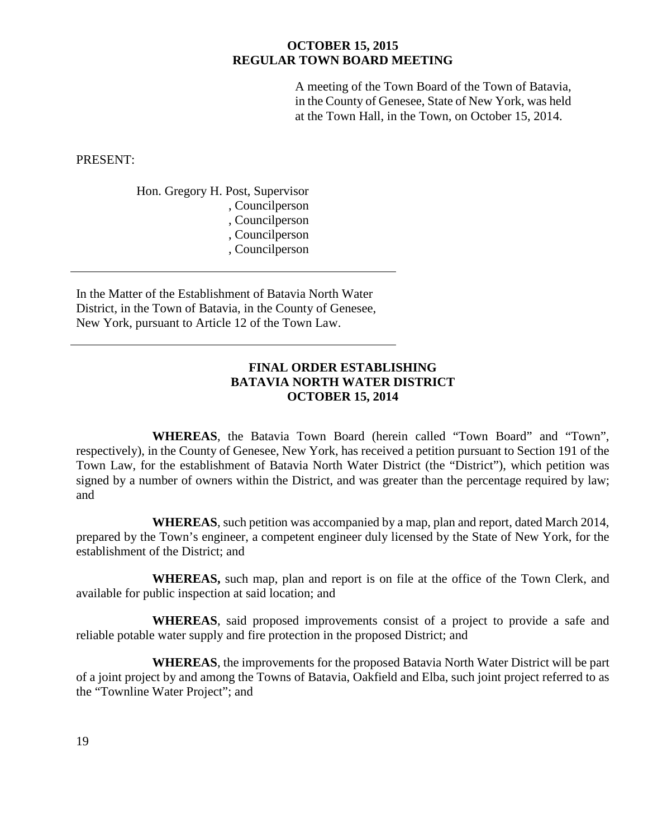A meeting of the Town Board of the Town of Batavia, in the County of Genesee, State of New York, was held at the Town Hall, in the Town, on October 15, 2014.

PRESENT:

 Hon. Gregory H. Post, Supervisor , Councilperson , Councilperson , Councilperson , Councilperson

In the Matter of the Establishment of Batavia North Water District, in the Town of Batavia, in the County of Genesee, New York, pursuant to Article 12 of the Town Law.

# **FINAL ORDER ESTABLISHING BATAVIA NORTH WATER DISTRICT OCTOBER 15, 2014**

**WHEREAS**, the Batavia Town Board (herein called "Town Board" and "Town", respectively), in the County of Genesee, New York, has received a petition pursuant to Section 191 of the Town Law, for the establishment of Batavia North Water District (the "District"), which petition was signed by a number of owners within the District, and was greater than the percentage required by law; and

**WHEREAS**, such petition was accompanied by a map, plan and report, dated March 2014, prepared by the Town's engineer, a competent engineer duly licensed by the State of New York, for the establishment of the District; and

**WHEREAS,** such map, plan and report is on file at the office of the Town Clerk, and available for public inspection at said location; and

**WHEREAS**, said proposed improvements consist of a project to provide a safe and reliable potable water supply and fire protection in the proposed District; and

**WHEREAS**, the improvements for the proposed Batavia North Water District will be part of a joint project by and among the Towns of Batavia, Oakfield and Elba, such joint project referred to as the "Townline Water Project"; and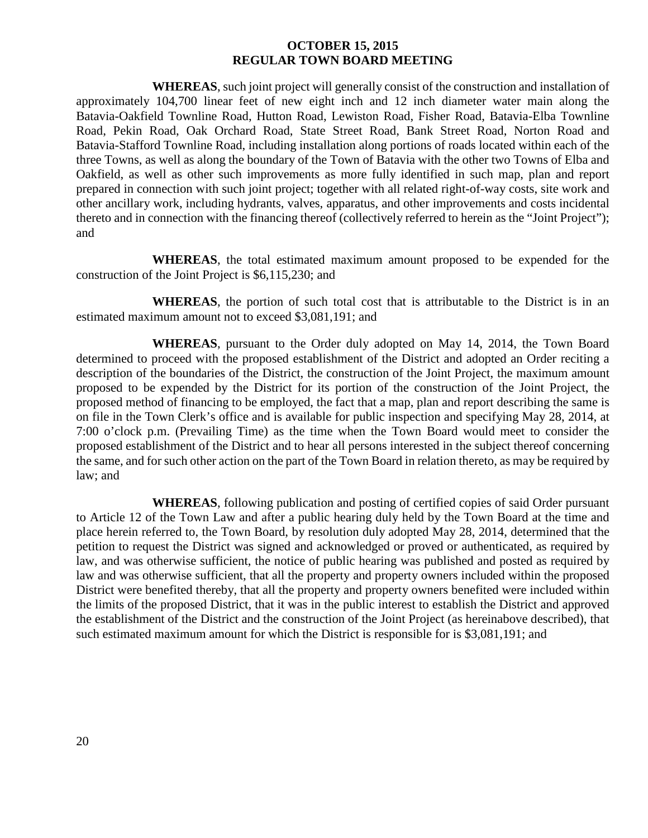**WHEREAS**, such joint project will generally consist of the construction and installation of approximately 104,700 linear feet of new eight inch and 12 inch diameter water main along the Batavia-Oakfield Townline Road, Hutton Road, Lewiston Road, Fisher Road, Batavia-Elba Townline Road, Pekin Road, Oak Orchard Road, State Street Road, Bank Street Road, Norton Road and Batavia-Stafford Townline Road, including installation along portions of roads located within each of the three Towns, as well as along the boundary of the Town of Batavia with the other two Towns of Elba and Oakfield, as well as other such improvements as more fully identified in such map, plan and report prepared in connection with such joint project; together with all related right-of-way costs, site work and other ancillary work, including hydrants, valves, apparatus, and other improvements and costs incidental thereto and in connection with the financing thereof (collectively referred to herein as the "Joint Project"); and

**WHEREAS**, the total estimated maximum amount proposed to be expended for the construction of the Joint Project is \$6,115,230; and

**WHEREAS**, the portion of such total cost that is attributable to the District is in an estimated maximum amount not to exceed \$3,081,191; and

**WHEREAS**, pursuant to the Order duly adopted on May 14, 2014, the Town Board determined to proceed with the proposed establishment of the District and adopted an Order reciting a description of the boundaries of the District, the construction of the Joint Project, the maximum amount proposed to be expended by the District for its portion of the construction of the Joint Project, the proposed method of financing to be employed, the fact that a map, plan and report describing the same is on file in the Town Clerk's office and is available for public inspection and specifying May 28, 2014, at 7:00 o'clock p.m. (Prevailing Time) as the time when the Town Board would meet to consider the proposed establishment of the District and to hear all persons interested in the subject thereof concerning the same, and for such other action on the part of the Town Board in relation thereto, as may be required by law; and

**WHEREAS**, following publication and posting of certified copies of said Order pursuant to Article 12 of the Town Law and after a public hearing duly held by the Town Board at the time and place herein referred to, the Town Board, by resolution duly adopted May 28, 2014, determined that the petition to request the District was signed and acknowledged or proved or authenticated, as required by law, and was otherwise sufficient, the notice of public hearing was published and posted as required by law and was otherwise sufficient, that all the property and property owners included within the proposed District were benefited thereby, that all the property and property owners benefited were included within the limits of the proposed District, that it was in the public interest to establish the District and approved the establishment of the District and the construction of the Joint Project (as hereinabove described), that such estimated maximum amount for which the District is responsible for is \$3,081,191; and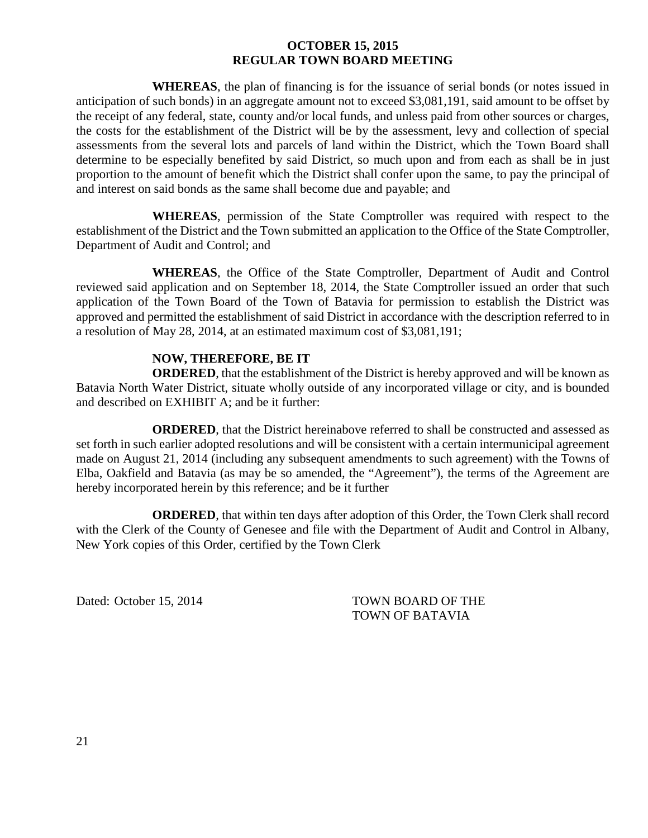**WHEREAS**, the plan of financing is for the issuance of serial bonds (or notes issued in anticipation of such bonds) in an aggregate amount not to exceed \$3,081,191, said amount to be offset by the receipt of any federal, state, county and/or local funds, and unless paid from other sources or charges, the costs for the establishment of the District will be by the assessment, levy and collection of special assessments from the several lots and parcels of land within the District, which the Town Board shall determine to be especially benefited by said District, so much upon and from each as shall be in just proportion to the amount of benefit which the District shall confer upon the same, to pay the principal of and interest on said bonds as the same shall become due and payable; and

**WHEREAS**, permission of the State Comptroller was required with respect to the establishment of the District and the Town submitted an application to the Office of the State Comptroller, Department of Audit and Control; and

**WHEREAS**, the Office of the State Comptroller, Department of Audit and Control reviewed said application and on September 18, 2014, the State Comptroller issued an order that such application of the Town Board of the Town of Batavia for permission to establish the District was approved and permitted the establishment of said District in accordance with the description referred to in a resolution of May 28, 2014, at an estimated maximum cost of \$3,081,191;

# **NOW, THEREFORE, BE IT**

**ORDERED**, that the establishment of the District is hereby approved and will be known as Batavia North Water District, situate wholly outside of any incorporated village or city, and is bounded and described on EXHIBIT A; and be it further:

**ORDERED**, that the District hereinabove referred to shall be constructed and assessed as set forth in such earlier adopted resolutions and will be consistent with a certain intermunicipal agreement made on August 21, 2014 (including any subsequent amendments to such agreement) with the Towns of Elba, Oakfield and Batavia (as may be so amended, the "Agreement"), the terms of the Agreement are hereby incorporated herein by this reference; and be it further

**ORDERED**, that within ten days after adoption of this Order, the Town Clerk shall record with the Clerk of the County of Genesee and file with the Department of Audit and Control in Albany, New York copies of this Order, certified by the Town Clerk

Dated: October 15, 2014 TOWN BOARD OF THE TOWN OF BATAVIA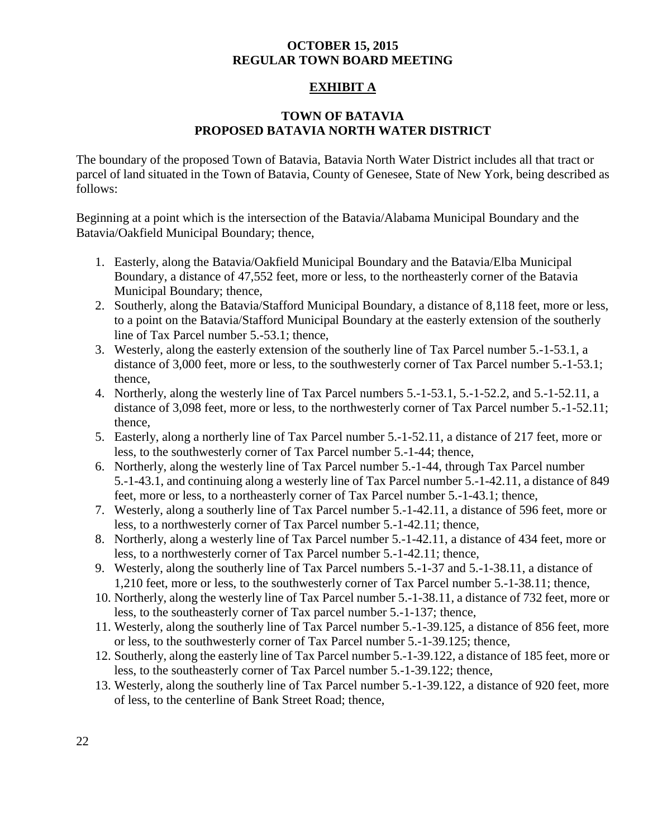# **EXHIBIT A**

# **TOWN OF BATAVIA PROPOSED BATAVIA NORTH WATER DISTRICT**

The boundary of the proposed Town of Batavia, Batavia North Water District includes all that tract or parcel of land situated in the Town of Batavia, County of Genesee, State of New York, being described as follows:

Beginning at a point which is the intersection of the Batavia/Alabama Municipal Boundary and the Batavia/Oakfield Municipal Boundary; thence,

- 1. Easterly, along the Batavia/Oakfield Municipal Boundary and the Batavia/Elba Municipal Boundary, a distance of 47,552 feet, more or less, to the northeasterly corner of the Batavia Municipal Boundary; thence,
- 2. Southerly, along the Batavia/Stafford Municipal Boundary, a distance of 8,118 feet, more or less, to a point on the Batavia/Stafford Municipal Boundary at the easterly extension of the southerly line of Tax Parcel number 5.-53.1; thence,
- 3. Westerly, along the easterly extension of the southerly line of Tax Parcel number 5.-1-53.1, a distance of 3,000 feet, more or less, to the southwesterly corner of Tax Parcel number 5.-1-53.1; thence,
- 4. Northerly, along the westerly line of Tax Parcel numbers 5.-1-53.1, 5.-1-52.2, and 5.-1-52.11, a distance of 3,098 feet, more or less, to the northwesterly corner of Tax Parcel number 5.-1-52.11; thence,
- 5. Easterly, along a northerly line of Tax Parcel number 5.-1-52.11, a distance of 217 feet, more or less, to the southwesterly corner of Tax Parcel number 5.-1-44; thence,
- 6. Northerly, along the westerly line of Tax Parcel number 5.-1-44, through Tax Parcel number 5.-1-43.1, and continuing along a westerly line of Tax Parcel number 5.-1-42.11, a distance of 849 feet, more or less, to a northeasterly corner of Tax Parcel number 5.-1-43.1; thence,
- 7. Westerly, along a southerly line of Tax Parcel number 5.-1-42.11, a distance of 596 feet, more or less, to a northwesterly corner of Tax Parcel number 5.-1-42.11; thence,
- 8. Northerly, along a westerly line of Tax Parcel number 5.-1-42.11, a distance of 434 feet, more or less, to a northwesterly corner of Tax Parcel number 5.-1-42.11; thence,
- 9. Westerly, along the southerly line of Tax Parcel numbers 5.-1-37 and 5.-1-38.11, a distance of 1,210 feet, more or less, to the southwesterly corner of Tax Parcel number 5.-1-38.11; thence,
- 10. Northerly, along the westerly line of Tax Parcel number 5.-1-38.11, a distance of 732 feet, more or less, to the southeasterly corner of Tax parcel number 5.-1-137; thence,
- 11. Westerly, along the southerly line of Tax Parcel number 5.-1-39.125, a distance of 856 feet, more or less, to the southwesterly corner of Tax Parcel number 5.-1-39.125; thence,
- 12. Southerly, along the easterly line of Tax Parcel number 5.-1-39.122, a distance of 185 feet, more or less, to the southeasterly corner of Tax Parcel number 5.-1-39.122; thence,
- 13. Westerly, along the southerly line of Tax Parcel number 5.-1-39.122, a distance of 920 feet, more of less, to the centerline of Bank Street Road; thence,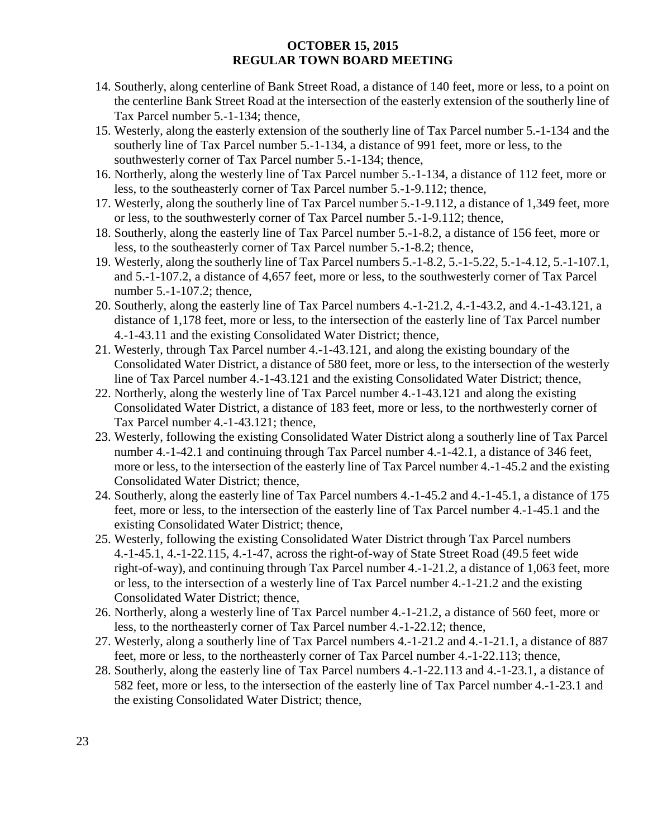- 14. Southerly, along centerline of Bank Street Road, a distance of 140 feet, more or less, to a point on the centerline Bank Street Road at the intersection of the easterly extension of the southerly line of Tax Parcel number 5.-1-134; thence,
- 15. Westerly, along the easterly extension of the southerly line of Tax Parcel number 5.-1-134 and the southerly line of Tax Parcel number 5.-1-134, a distance of 991 feet, more or less, to the southwesterly corner of Tax Parcel number 5.-1-134; thence,
- 16. Northerly, along the westerly line of Tax Parcel number 5.-1-134, a distance of 112 feet, more or less, to the southeasterly corner of Tax Parcel number 5.-1-9.112; thence,
- 17. Westerly, along the southerly line of Tax Parcel number 5.-1-9.112, a distance of 1,349 feet, more or less, to the southwesterly corner of Tax Parcel number 5.-1-9.112; thence,
- 18. Southerly, along the easterly line of Tax Parcel number 5.-1-8.2, a distance of 156 feet, more or less, to the southeasterly corner of Tax Parcel number 5.-1-8.2; thence,
- 19. Westerly, along the southerly line of Tax Parcel numbers 5.-1-8.2, 5.-1-5.22, 5.-1-4.12, 5.-1-107.1, and 5.-1-107.2, a distance of 4,657 feet, more or less, to the southwesterly corner of Tax Parcel number 5.-1-107.2; thence,
- 20. Southerly, along the easterly line of Tax Parcel numbers 4.-1-21.2, 4.-1-43.2, and 4.-1-43.121, a distance of 1,178 feet, more or less, to the intersection of the easterly line of Tax Parcel number 4.-1-43.11 and the existing Consolidated Water District; thence,
- 21. Westerly, through Tax Parcel number 4.-1-43.121, and along the existing boundary of the Consolidated Water District, a distance of 580 feet, more or less, to the intersection of the westerly line of Tax Parcel number 4.-1-43.121 and the existing Consolidated Water District; thence,
- 22. Northerly, along the westerly line of Tax Parcel number 4.-1-43.121 and along the existing Consolidated Water District, a distance of 183 feet, more or less, to the northwesterly corner of Tax Parcel number 4.-1-43.121; thence,
- 23. Westerly, following the existing Consolidated Water District along a southerly line of Tax Parcel number 4.-1-42.1 and continuing through Tax Parcel number 4.-1-42.1, a distance of 346 feet, more or less, to the intersection of the easterly line of Tax Parcel number 4.-1-45.2 and the existing Consolidated Water District; thence,
- 24. Southerly, along the easterly line of Tax Parcel numbers 4.-1-45.2 and 4.-1-45.1, a distance of 175 feet, more or less, to the intersection of the easterly line of Tax Parcel number 4.-1-45.1 and the existing Consolidated Water District; thence,
- 25. Westerly, following the existing Consolidated Water District through Tax Parcel numbers 4.-1-45.1, 4.-1-22.115, 4.-1-47, across the right-of-way of State Street Road (49.5 feet wide right-of-way), and continuing through Tax Parcel number 4.-1-21.2, a distance of 1,063 feet, more or less, to the intersection of a westerly line of Tax Parcel number 4.-1-21.2 and the existing Consolidated Water District; thence,
- 26. Northerly, along a westerly line of Tax Parcel number 4.-1-21.2, a distance of 560 feet, more or less, to the northeasterly corner of Tax Parcel number 4.-1-22.12; thence,
- 27. Westerly, along a southerly line of Tax Parcel numbers 4.-1-21.2 and 4.-1-21.1, a distance of 887 feet, more or less, to the northeasterly corner of Tax Parcel number 4.-1-22.113; thence,
- 28. Southerly, along the easterly line of Tax Parcel numbers 4.-1-22.113 and 4.-1-23.1, a distance of 582 feet, more or less, to the intersection of the easterly line of Tax Parcel number 4.-1-23.1 and the existing Consolidated Water District; thence,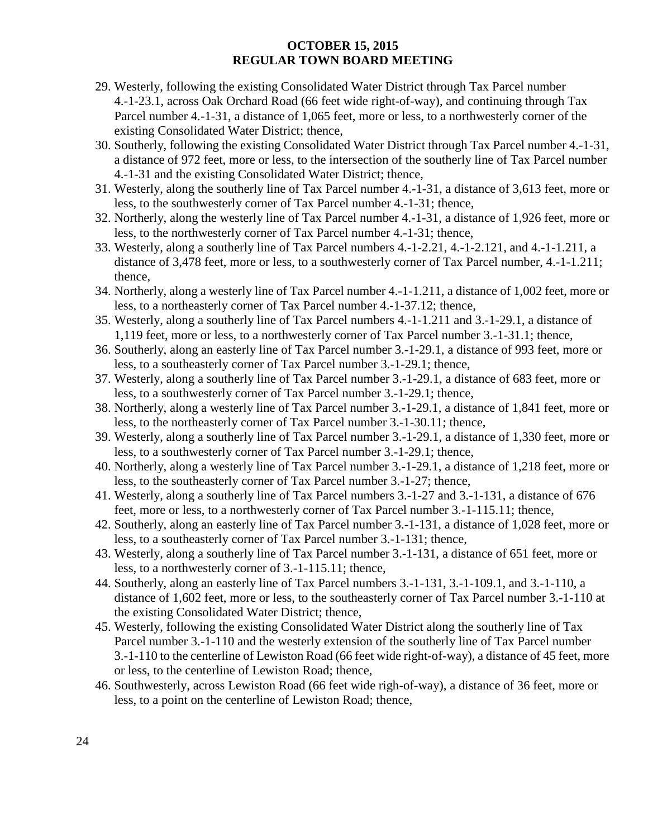- 29. Westerly, following the existing Consolidated Water District through Tax Parcel number 4.-1-23.1, across Oak Orchard Road (66 feet wide right-of-way), and continuing through Tax Parcel number 4.-1-31, a distance of 1,065 feet, more or less, to a northwesterly corner of the existing Consolidated Water District; thence,
- 30. Southerly, following the existing Consolidated Water District through Tax Parcel number 4.-1-31, a distance of 972 feet, more or less, to the intersection of the southerly line of Tax Parcel number 4.-1-31 and the existing Consolidated Water District; thence,
- 31. Westerly, along the southerly line of Tax Parcel number 4.-1-31, a distance of 3,613 feet, more or less, to the southwesterly corner of Tax Parcel number 4.-1-31; thence,
- 32. Northerly, along the westerly line of Tax Parcel number 4.-1-31, a distance of 1,926 feet, more or less, to the northwesterly corner of Tax Parcel number 4.-1-31; thence,
- 33. Westerly, along a southerly line of Tax Parcel numbers 4.-1-2.21, 4.-1-2.121, and 4.-1-1.211, a distance of 3,478 feet, more or less, to a southwesterly corner of Tax Parcel number, 4.-1-1.211; thence,
- 34. Northerly, along a westerly line of Tax Parcel number 4.-1-1.211, a distance of 1,002 feet, more or less, to a northeasterly corner of Tax Parcel number 4.-1-37.12; thence,
- 35. Westerly, along a southerly line of Tax Parcel numbers 4.-1-1.211 and 3.-1-29.1, a distance of 1,119 feet, more or less, to a northwesterly corner of Tax Parcel number 3.-1-31.1; thence,
- 36. Southerly, along an easterly line of Tax Parcel number 3.-1-29.1, a distance of 993 feet, more or less, to a southeasterly corner of Tax Parcel number 3.-1-29.1; thence,
- 37. Westerly, along a southerly line of Tax Parcel number 3.-1-29.1, a distance of 683 feet, more or less, to a southwesterly corner of Tax Parcel number 3.-1-29.1; thence,
- 38. Northerly, along a westerly line of Tax Parcel number 3.-1-29.1, a distance of 1,841 feet, more or less, to the northeasterly corner of Tax Parcel number 3.-1-30.11; thence,
- 39. Westerly, along a southerly line of Tax Parcel number 3.-1-29.1, a distance of 1,330 feet, more or less, to a southwesterly corner of Tax Parcel number 3.-1-29.1; thence,
- 40. Northerly, along a westerly line of Tax Parcel number 3.-1-29.1, a distance of 1,218 feet, more or less, to the southeasterly corner of Tax Parcel number 3.-1-27; thence,
- 41. Westerly, along a southerly line of Tax Parcel numbers 3.-1-27 and 3.-1-131, a distance of 676 feet, more or less, to a northwesterly corner of Tax Parcel number 3.-1-115.11; thence,
- 42. Southerly, along an easterly line of Tax Parcel number 3.-1-131, a distance of 1,028 feet, more or less, to a southeasterly corner of Tax Parcel number 3.-1-131; thence,
- 43. Westerly, along a southerly line of Tax Parcel number 3.-1-131, a distance of 651 feet, more or less, to a northwesterly corner of 3.-1-115.11; thence,
- 44. Southerly, along an easterly line of Tax Parcel numbers 3.-1-131, 3.-1-109.1, and 3.-1-110, a distance of 1,602 feet, more or less, to the southeasterly corner of Tax Parcel number 3.-1-110 at the existing Consolidated Water District; thence,
- 45. Westerly, following the existing Consolidated Water District along the southerly line of Tax Parcel number 3.-1-110 and the westerly extension of the southerly line of Tax Parcel number 3.-1-110 to the centerline of Lewiston Road (66 feet wide right-of-way), a distance of 45 feet, more or less, to the centerline of Lewiston Road; thence,
- 46. Southwesterly, across Lewiston Road (66 feet wide righ-of-way), a distance of 36 feet, more or less, to a point on the centerline of Lewiston Road; thence,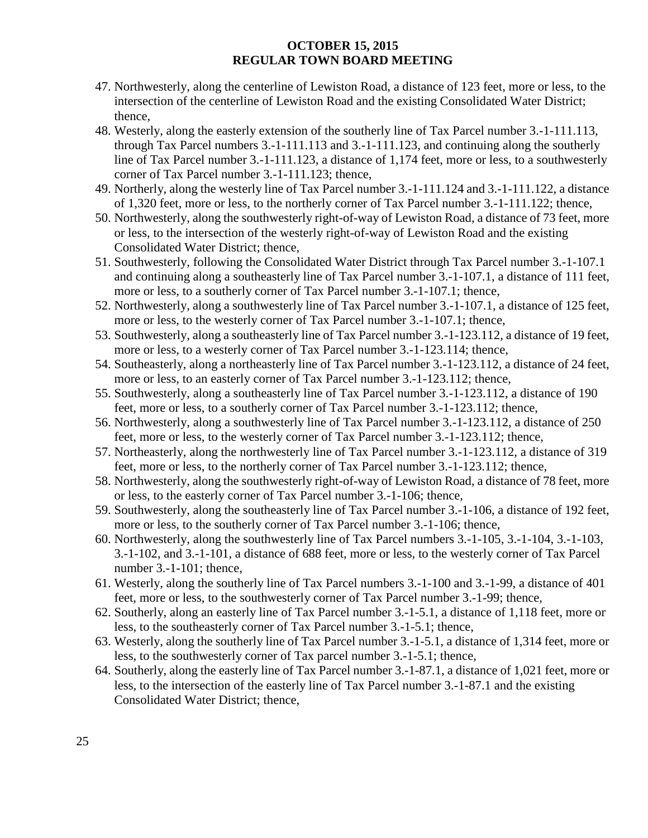- 47. Northwesterly, along the centerline of Lewiston Road, a distance of 123 feet, more or less, to the intersection of the centerline of Lewiston Road and the existing Consolidated Water District; thence,
- 48. Westerly, along the easterly extension of the southerly line of Tax Parcel number 3.-1-111.113, through Tax Parcel numbers 3.-1-111.113 and 3.-1-111.123, and continuing along the southerly line of Tax Parcel number 3.-1-111.123, a distance of 1,174 feet, more or less, to a southwesterly corner of Tax Parcel number 3.-1-111.123; thence,
- 49. Northerly, along the westerly line of Tax Parcel number 3.-1-111.124 and 3.-1-111.122, a distance of 1,320 feet, more or less, to the northerly corner of Tax Parcel number 3.-1-111.122; thence,
- 50. Northwesterly, along the southwesterly right-of-way of Lewiston Road, a distance of 73 feet, more or less, to the intersection of the westerly right-of-way of Lewiston Road and the existing Consolidated Water District; thence,
- 51. Southwesterly, following the Consolidated Water District through Tax Parcel number 3.-1-107.1 and continuing along a southeasterly line of Tax Parcel number 3.-1-107.1, a distance of 111 feet, more or less, to a southerly corner of Tax Parcel number 3.-1-107.1; thence,
- 52. Northwesterly, along a southwesterly line of Tax Parcel number 3.-1-107.1, a distance of 125 feet, more or less, to the westerly corner of Tax Parcel number 3.-1-107.1; thence,
- 53. Southwesterly, along a southeasterly line of Tax Parcel number 3.-1-123.112, a distance of 19 feet, more or less, to a westerly corner of Tax Parcel number 3.-1-123.114; thence,
- 54. Southeasterly, along a northeasterly line of Tax Parcel number 3.-1-123.112, a distance of 24 feet, more or less, to an easterly corner of Tax Parcel number 3.-1-123.112; thence,
- 55. Southwesterly, along a southeasterly line of Tax Parcel number 3.-1-123.112, a distance of 190 feet, more or less, to a southerly corner of Tax Parcel number 3.-1-123.112; thence,
- 56. Northwesterly, along a southwesterly line of Tax Parcel number 3.-1-123.112, a distance of 250 feet, more or less, to the westerly corner of Tax Parcel number 3.-1-123.112; thence,
- 57. Northeasterly, along the northwesterly line of Tax Parcel number 3.-1-123.112, a distance of 319 feet, more or less, to the northerly corner of Tax Parcel number 3.-1-123.112; thence,
- 58. Northwesterly, along the southwesterly right-of-way of Lewiston Road, a distance of 78 feet, more or less, to the easterly corner of Tax Parcel number 3.-1-106; thence,
- 59. Southwesterly, along the southeasterly line of Tax Parcel number 3.-1-106, a distance of 192 feet, more or less, to the southerly corner of Tax Parcel number 3.-1-106; thence,
- 60. Northwesterly, along the southwesterly line of Tax Parcel numbers 3.-1-105, 3.-1-104, 3.-1-103, 3.-1-102, and 3.-1-101, a distance of 688 feet, more or less, to the westerly corner of Tax Parcel number 3.-1-101; thence,
- 61. Westerly, along the southerly line of Tax Parcel numbers 3.-1-100 and 3.-1-99, a distance of 401 feet, more or less, to the southwesterly corner of Tax Parcel number 3.-1-99; thence,
- 62. Southerly, along an easterly line of Tax Parcel number 3.-1-5.1, a distance of 1,118 feet, more or less, to the southeasterly corner of Tax Parcel number 3.-1-5.1; thence,
- 63. Westerly, along the southerly line of Tax Parcel number 3.-1-5.1, a distance of 1,314 feet, more or less, to the southwesterly corner of Tax parcel number 3.-1-5.1; thence,
- 64. Southerly, along the easterly line of Tax Parcel number 3.-1-87.1, a distance of 1,021 feet, more or less, to the intersection of the easterly line of Tax Parcel number 3.-1-87.1 and the existing Consolidated Water District; thence,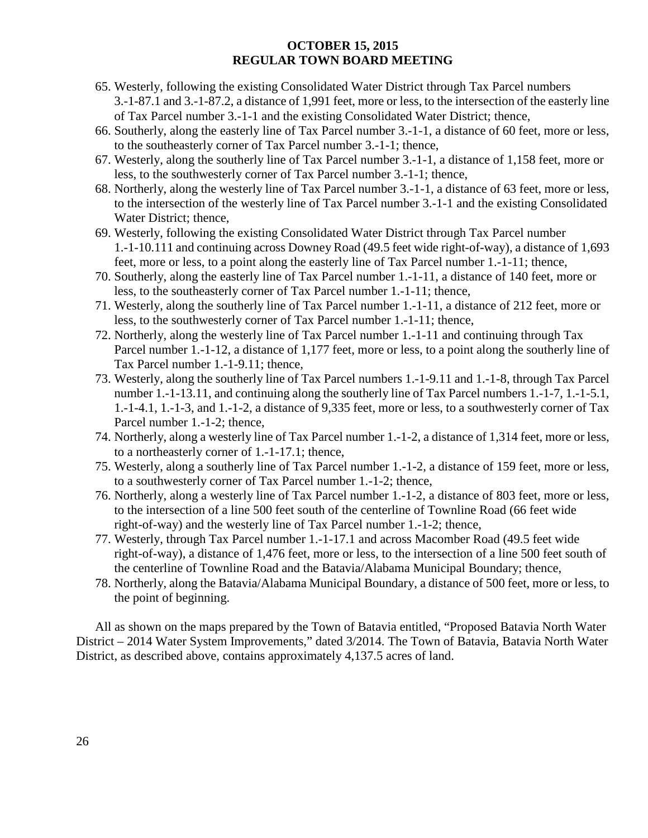- 65. Westerly, following the existing Consolidated Water District through Tax Parcel numbers 3.-1-87.1 and 3.-1-87.2, a distance of 1,991 feet, more or less, to the intersection of the easterly line of Tax Parcel number 3.-1-1 and the existing Consolidated Water District; thence,
- 66. Southerly, along the easterly line of Tax Parcel number 3.-1-1, a distance of 60 feet, more or less, to the southeasterly corner of Tax Parcel number 3.-1-1; thence,
- 67. Westerly, along the southerly line of Tax Parcel number 3.-1-1, a distance of 1,158 feet, more or less, to the southwesterly corner of Tax Parcel number 3.-1-1; thence,
- 68. Northerly, along the westerly line of Tax Parcel number 3.-1-1, a distance of 63 feet, more or less, to the intersection of the westerly line of Tax Parcel number 3.-1-1 and the existing Consolidated Water District; thence,
- 69. Westerly, following the existing Consolidated Water District through Tax Parcel number 1.-1-10.111 and continuing across Downey Road (49.5 feet wide right-of-way), a distance of 1,693 feet, more or less, to a point along the easterly line of Tax Parcel number 1.-1-11; thence,
- 70. Southerly, along the easterly line of Tax Parcel number 1.-1-11, a distance of 140 feet, more or less, to the southeasterly corner of Tax Parcel number 1.-1-11; thence,
- 71. Westerly, along the southerly line of Tax Parcel number 1.-1-11, a distance of 212 feet, more or less, to the southwesterly corner of Tax Parcel number 1.-1-11; thence,
- 72. Northerly, along the westerly line of Tax Parcel number 1.-1-11 and continuing through Tax Parcel number 1.-1-12, a distance of 1,177 feet, more or less, to a point along the southerly line of Tax Parcel number 1.-1-9.11; thence,
- 73. Westerly, along the southerly line of Tax Parcel numbers 1.-1-9.11 and 1.-1-8, through Tax Parcel number 1.-1-13.11, and continuing along the southerly line of Tax Parcel numbers 1.-1-7, 1.-1-5.1, 1.-1-4.1, 1.-1-3, and 1.-1-2, a distance of 9,335 feet, more or less, to a southwesterly corner of Tax Parcel number 1.-1-2; thence,
- 74. Northerly, along a westerly line of Tax Parcel number 1.-1-2, a distance of 1,314 feet, more or less, to a northeasterly corner of 1.-1-17.1; thence,
- 75. Westerly, along a southerly line of Tax Parcel number 1.-1-2, a distance of 159 feet, more or less, to a southwesterly corner of Tax Parcel number 1.-1-2; thence,
- 76. Northerly, along a westerly line of Tax Parcel number 1.-1-2, a distance of 803 feet, more or less, to the intersection of a line 500 feet south of the centerline of Townline Road (66 feet wide right-of-way) and the westerly line of Tax Parcel number 1.-1-2; thence,
- 77. Westerly, through Tax Parcel number 1.-1-17.1 and across Macomber Road (49.5 feet wide right-of-way), a distance of 1,476 feet, more or less, to the intersection of a line 500 feet south of the centerline of Townline Road and the Batavia/Alabama Municipal Boundary; thence,
- 78. Northerly, along the Batavia/Alabama Municipal Boundary, a distance of 500 feet, more or less, to the point of beginning.

All as shown on the maps prepared by the Town of Batavia entitled, "Proposed Batavia North Water District – 2014 Water System Improvements," dated 3/2014. The Town of Batavia, Batavia North Water District, as described above, contains approximately 4,137.5 acres of land.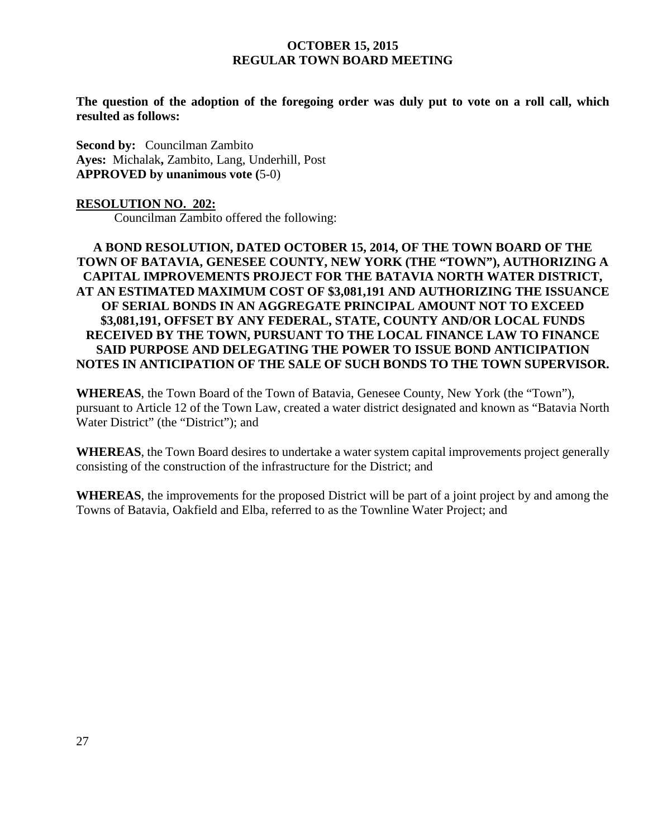**The question of the adoption of the foregoing order was duly put to vote on a roll call, which resulted as follows:**

**Second by:** Councilman Zambito **Ayes:** Michalak**,** Zambito, Lang, Underhill, Post **APPROVED by unanimous vote (**5-0)

#### **RESOLUTION NO. 202:**

Councilman Zambito offered the following:

**A BOND RESOLUTION, DATED OCTOBER 15, 2014, OF THE TOWN BOARD OF THE TOWN OF BATAVIA, GENESEE COUNTY, NEW YORK (THE "TOWN"), AUTHORIZING A CAPITAL IMPROVEMENTS PROJECT FOR THE BATAVIA NORTH WATER DISTRICT, AT AN ESTIMATED MAXIMUM COST OF \$3,081,191 AND AUTHORIZING THE ISSUANCE OF SERIAL BONDS IN AN AGGREGATE PRINCIPAL AMOUNT NOT TO EXCEED \$3,081,191, OFFSET BY ANY FEDERAL, STATE, COUNTY AND/OR LOCAL FUNDS RECEIVED BY THE TOWN, PURSUANT TO THE LOCAL FINANCE LAW TO FINANCE SAID PURPOSE AND DELEGATING THE POWER TO ISSUE BOND ANTICIPATION NOTES IN ANTICIPATION OF THE SALE OF SUCH BONDS TO THE TOWN SUPERVISOR.**

**WHEREAS**, the Town Board of the Town of Batavia, Genesee County, New York (the "Town"), pursuant to Article 12 of the Town Law, created a water district designated and known as "Batavia North Water District" (the "District"); and

**WHEREAS**, the Town Board desires to undertake a water system capital improvements project generally consisting of the construction of the infrastructure for the District; and

**WHEREAS**, the improvements for the proposed District will be part of a joint project by and among the Towns of Batavia, Oakfield and Elba, referred to as the Townline Water Project; and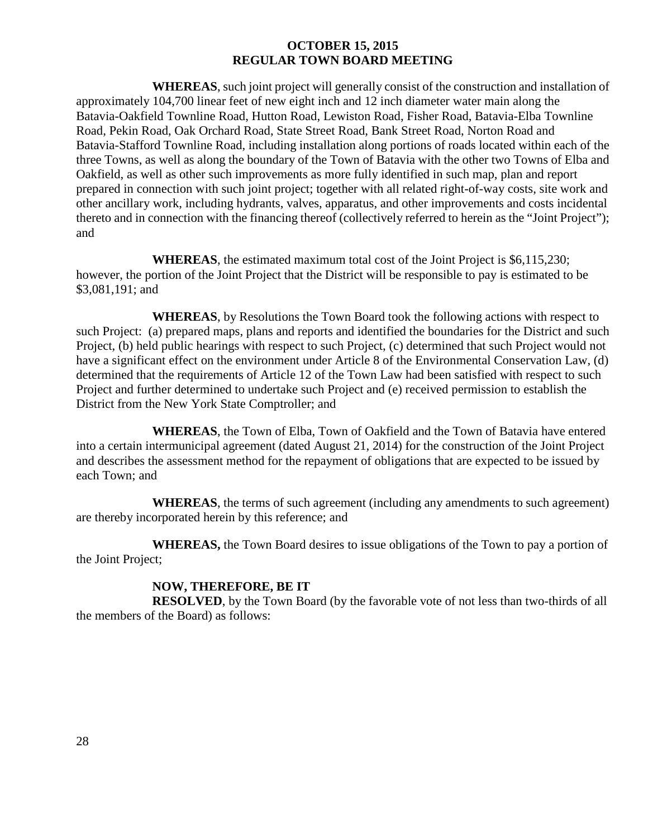**WHEREAS**, such joint project will generally consist of the construction and installation of approximately 104,700 linear feet of new eight inch and 12 inch diameter water main along the Batavia-Oakfield Townline Road, Hutton Road, Lewiston Road, Fisher Road, Batavia-Elba Townline Road, Pekin Road, Oak Orchard Road, State Street Road, Bank Street Road, Norton Road and Batavia-Stafford Townline Road, including installation along portions of roads located within each of the three Towns, as well as along the boundary of the Town of Batavia with the other two Towns of Elba and Oakfield, as well as other such improvements as more fully identified in such map, plan and report prepared in connection with such joint project; together with all related right-of-way costs, site work and other ancillary work, including hydrants, valves, apparatus, and other improvements and costs incidental thereto and in connection with the financing thereof (collectively referred to herein as the "Joint Project"); and

**WHEREAS**, the estimated maximum total cost of the Joint Project is \$6,115,230; however, the portion of the Joint Project that the District will be responsible to pay is estimated to be \$3,081,191; and

**WHEREAS**, by Resolutions the Town Board took the following actions with respect to such Project: (a) prepared maps, plans and reports and identified the boundaries for the District and such Project, (b) held public hearings with respect to such Project, (c) determined that such Project would not have a significant effect on the environment under Article 8 of the Environmental Conservation Law, (d) determined that the requirements of Article 12 of the Town Law had been satisfied with respect to such Project and further determined to undertake such Project and (e) received permission to establish the District from the New York State Comptroller; and

**WHEREAS**, the Town of Elba, Town of Oakfield and the Town of Batavia have entered into a certain intermunicipal agreement (dated August 21, 2014) for the construction of the Joint Project and describes the assessment method for the repayment of obligations that are expected to be issued by each Town; and

**WHEREAS**, the terms of such agreement (including any amendments to such agreement) are thereby incorporated herein by this reference; and

**WHEREAS,** the Town Board desires to issue obligations of the Town to pay a portion of the Joint Project;

# **NOW, THEREFORE, BE IT**

**RESOLVED**, by the Town Board (by the favorable vote of not less than two-thirds of all the members of the Board) as follows: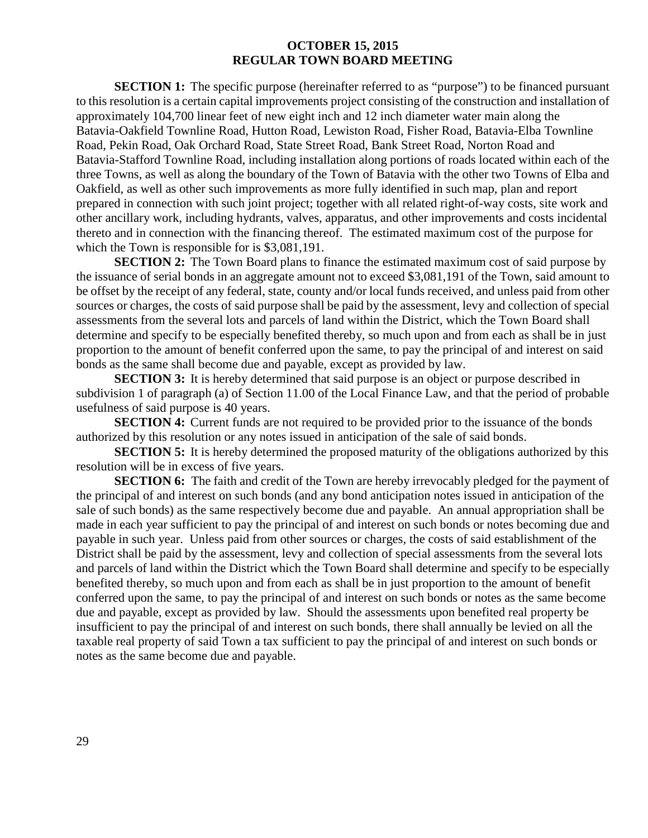**SECTION 1:** The specific purpose (hereinafter referred to as "purpose") to be financed pursuant to this resolution is a certain capital improvements project consisting of the construction and installation of approximately 104,700 linear feet of new eight inch and 12 inch diameter water main along the Batavia-Oakfield Townline Road, Hutton Road, Lewiston Road, Fisher Road, Batavia-Elba Townline Road, Pekin Road, Oak Orchard Road, State Street Road, Bank Street Road, Norton Road and Batavia-Stafford Townline Road, including installation along portions of roads located within each of the three Towns, as well as along the boundary of the Town of Batavia with the other two Towns of Elba and Oakfield, as well as other such improvements as more fully identified in such map, plan and report prepared in connection with such joint project; together with all related right-of-way costs, site work and other ancillary work, including hydrants, valves, apparatus, and other improvements and costs incidental thereto and in connection with the financing thereof. The estimated maximum cost of the purpose for which the Town is responsible for is \$3,081,191.

**SECTION 2:** The Town Board plans to finance the estimated maximum cost of said purpose by the issuance of serial bonds in an aggregate amount not to exceed \$3,081,191 of the Town, said amount to be offset by the receipt of any federal, state, county and/or local funds received, and unless paid from other sources or charges, the costs of said purpose shall be paid by the assessment, levy and collection of special assessments from the several lots and parcels of land within the District, which the Town Board shall determine and specify to be especially benefited thereby, so much upon and from each as shall be in just proportion to the amount of benefit conferred upon the same, to pay the principal of and interest on said bonds as the same shall become due and payable, except as provided by law.

**SECTION 3:** It is hereby determined that said purpose is an object or purpose described in subdivision 1 of paragraph (a) of Section 11.00 of the Local Finance Law, and that the period of probable usefulness of said purpose is 40 years.

**SECTION 4:** Current funds are not required to be provided prior to the issuance of the bonds authorized by this resolution or any notes issued in anticipation of the sale of said bonds.

**SECTION 5:** It is hereby determined the proposed maturity of the obligations authorized by this resolution will be in excess of five years.

**SECTION 6:** The faith and credit of the Town are hereby irrevocably pledged for the payment of the principal of and interest on such bonds (and any bond anticipation notes issued in anticipation of the sale of such bonds) as the same respectively become due and payable. An annual appropriation shall be made in each year sufficient to pay the principal of and interest on such bonds or notes becoming due and payable in such year. Unless paid from other sources or charges, the costs of said establishment of the District shall be paid by the assessment, levy and collection of special assessments from the several lots and parcels of land within the District which the Town Board shall determine and specify to be especially benefited thereby, so much upon and from each as shall be in just proportion to the amount of benefit conferred upon the same, to pay the principal of and interest on such bonds or notes as the same become due and payable, except as provided by law. Should the assessments upon benefited real property be insufficient to pay the principal of and interest on such bonds, there shall annually be levied on all the taxable real property of said Town a tax sufficient to pay the principal of and interest on such bonds or notes as the same become due and payable.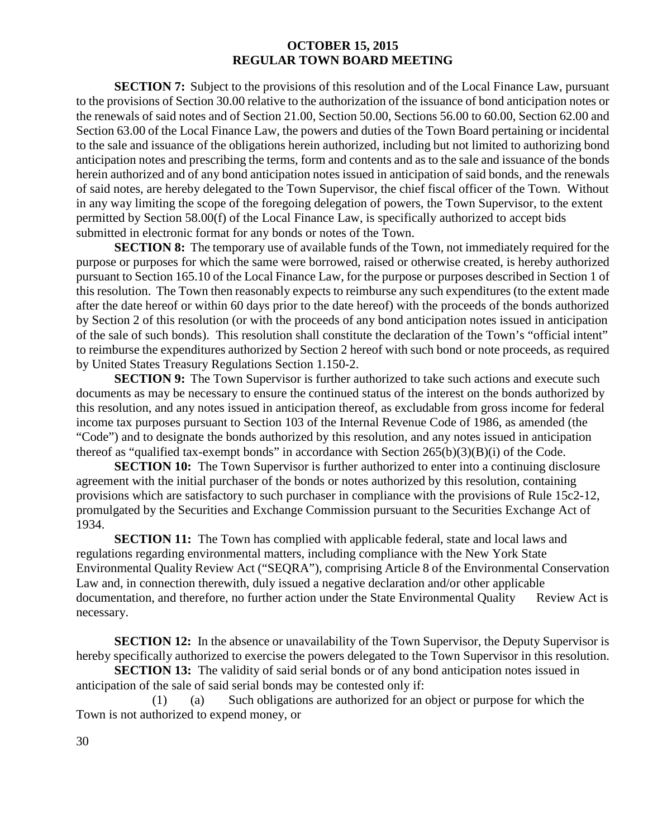**SECTION 7:** Subject to the provisions of this resolution and of the Local Finance Law, pursuant to the provisions of Section 30.00 relative to the authorization of the issuance of bond anticipation notes or the renewals of said notes and of Section 21.00, Section 50.00, Sections 56.00 to 60.00, Section 62.00 and Section 63.00 of the Local Finance Law, the powers and duties of the Town Board pertaining or incidental to the sale and issuance of the obligations herein authorized, including but not limited to authorizing bond anticipation notes and prescribing the terms, form and contents and as to the sale and issuance of the bonds herein authorized and of any bond anticipation notes issued in anticipation of said bonds, and the renewals of said notes, are hereby delegated to the Town Supervisor, the chief fiscal officer of the Town. Without in any way limiting the scope of the foregoing delegation of powers, the Town Supervisor, to the extent permitted by Section 58.00(f) of the Local Finance Law, is specifically authorized to accept bids submitted in electronic format for any bonds or notes of the Town.

**SECTION 8:** The temporary use of available funds of the Town, not immediately required for the purpose or purposes for which the same were borrowed, raised or otherwise created, is hereby authorized pursuant to Section 165.10 of the Local Finance Law, for the purpose or purposes described in Section 1 of this resolution. The Town then reasonably expects to reimburse any such expenditures (to the extent made after the date hereof or within 60 days prior to the date hereof) with the proceeds of the bonds authorized by Section 2 of this resolution (or with the proceeds of any bond anticipation notes issued in anticipation of the sale of such bonds). This resolution shall constitute the declaration of the Town's "official intent" to reimburse the expenditures authorized by Section 2 hereof with such bond or note proceeds, as required by United States Treasury Regulations Section 1.150-2.

**SECTION 9:** The Town Supervisor is further authorized to take such actions and execute such documents as may be necessary to ensure the continued status of the interest on the bonds authorized by this resolution, and any notes issued in anticipation thereof, as excludable from gross income for federal income tax purposes pursuant to Section 103 of the Internal Revenue Code of 1986, as amended (the "Code") and to designate the bonds authorized by this resolution, and any notes issued in anticipation thereof as "qualified tax-exempt bonds" in accordance with Section  $265(b)(3)(B)(i)$  of the Code.

**SECTION 10:** The Town Supervisor is further authorized to enter into a continuing disclosure agreement with the initial purchaser of the bonds or notes authorized by this resolution, containing provisions which are satisfactory to such purchaser in compliance with the provisions of Rule 15c2-12, promulgated by the Securities and Exchange Commission pursuant to the Securities Exchange Act of 1934.

**SECTION 11:** The Town has complied with applicable federal, state and local laws and regulations regarding environmental matters, including compliance with the New York State Environmental Quality Review Act ("SEQRA"), comprising Article 8 of the Environmental Conservation Law and, in connection therewith, duly issued a negative declaration and/or other applicable documentation, and therefore, no further action under the State Environmental Quality Review Act is necessary.

**SECTION 12:** In the absence or unavailability of the Town Supervisor, the Deputy Supervisor is hereby specifically authorized to exercise the powers delegated to the Town Supervisor in this resolution.

**SECTION 13:** The validity of said serial bonds or of any bond anticipation notes issued in anticipation of the sale of said serial bonds may be contested only if:

(1) (a) Such obligations are authorized for an object or purpose for which the Town is not authorized to expend money, or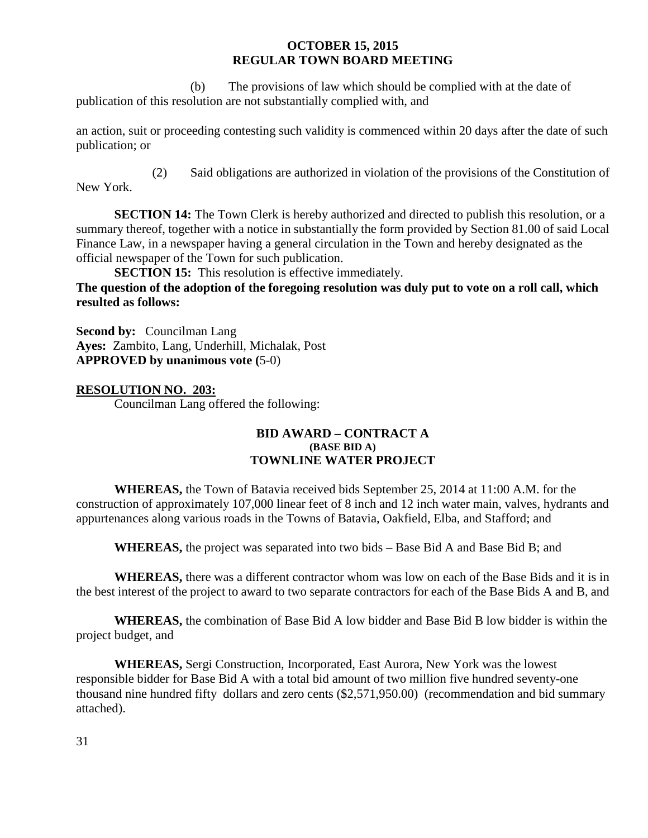(b) The provisions of law which should be complied with at the date of publication of this resolution are not substantially complied with, and

an action, suit or proceeding contesting such validity is commenced within 20 days after the date of such publication; or

(2) Said obligations are authorized in violation of the provisions of the Constitution of New York.

**SECTION 14:** The Town Clerk is hereby authorized and directed to publish this resolution, or a summary thereof, together with a notice in substantially the form provided by Section 81.00 of said Local Finance Law, in a newspaper having a general circulation in the Town and hereby designated as the official newspaper of the Town for such publication.

**SECTION 15:** This resolution is effective immediately.

**The question of the adoption of the foregoing resolution was duly put to vote on a roll call, which resulted as follows:**

**Second by:** Councilman Lang **Ayes:** Zambito, Lang, Underhill, Michalak, Post **APPROVED by unanimous vote (**5-0)

# **RESOLUTION NO. 203:**

Councilman Lang offered the following:

#### **BID AWARD – CONTRACT A (BASE BID A) TOWNLINE WATER PROJECT**

**WHEREAS,** the Town of Batavia received bids September 25, 2014 at 11:00 A.M. for the construction of approximately 107,000 linear feet of 8 inch and 12 inch water main, valves, hydrants and appurtenances along various roads in the Towns of Batavia, Oakfield, Elba, and Stafford; and

**WHEREAS,** the project was separated into two bids – Base Bid A and Base Bid B; and

**WHEREAS,** there was a different contractor whom was low on each of the Base Bids and it is in the best interest of the project to award to two separate contractors for each of the Base Bids A and B, and

**WHEREAS,** the combination of Base Bid A low bidder and Base Bid B low bidder is within the project budget, and

**WHEREAS,** Sergi Construction, Incorporated, East Aurora, New York was the lowest responsible bidder for Base Bid A with a total bid amount of two million five hundred seventy-one thousand nine hundred fifty dollars and zero cents (\$2,571,950.00) (recommendation and bid summary attached).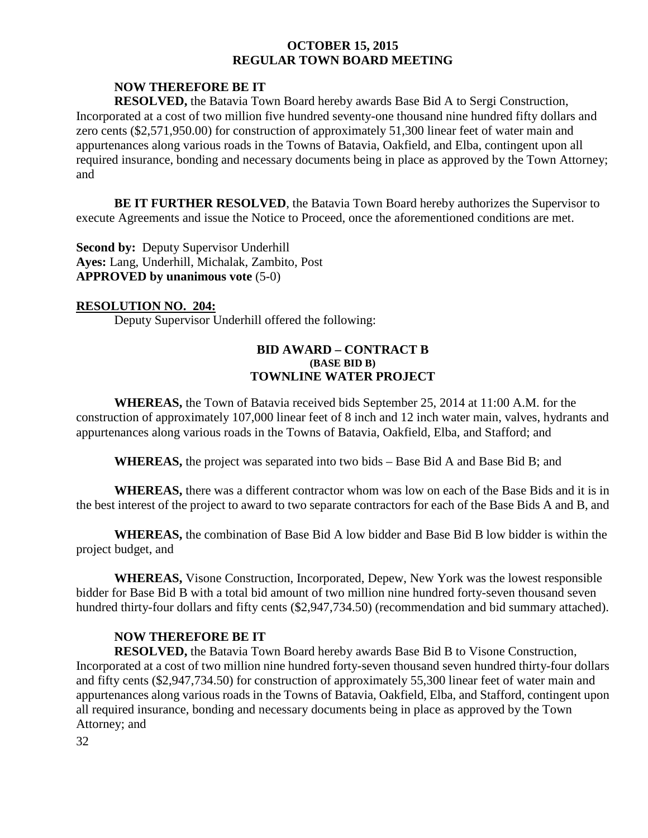# **NOW THEREFORE BE IT**

**RESOLVED,** the Batavia Town Board hereby awards Base Bid A to Sergi Construction, Incorporated at a cost of two million five hundred seventy-one thousand nine hundred fifty dollars and zero cents (\$2,571,950.00) for construction of approximately 51,300 linear feet of water main and appurtenances along various roads in the Towns of Batavia, Oakfield, and Elba, contingent upon all required insurance, bonding and necessary documents being in place as approved by the Town Attorney; and

**BE IT FURTHER RESOLVED**, the Batavia Town Board hereby authorizes the Supervisor to execute Agreements and issue the Notice to Proceed, once the aforementioned conditions are met.

**Second by: Deputy Supervisor Underhill Ayes:** Lang, Underhill, Michalak, Zambito, Post **APPROVED by unanimous vote** (5-0)

#### **RESOLUTION NO. 204:**

Deputy Supervisor Underhill offered the following:

### **BID AWARD – CONTRACT B (BASE BID B) TOWNLINE WATER PROJECT**

**WHEREAS,** the Town of Batavia received bids September 25, 2014 at 11:00 A.M. for the construction of approximately 107,000 linear feet of 8 inch and 12 inch water main, valves, hydrants and appurtenances along various roads in the Towns of Batavia, Oakfield, Elba, and Stafford; and

**WHEREAS,** the project was separated into two bids – Base Bid A and Base Bid B; and

**WHEREAS,** there was a different contractor whom was low on each of the Base Bids and it is in the best interest of the project to award to two separate contractors for each of the Base Bids A and B, and

**WHEREAS,** the combination of Base Bid A low bidder and Base Bid B low bidder is within the project budget, and

**WHEREAS,** Visone Construction, Incorporated, Depew, New York was the lowest responsible bidder for Base Bid B with a total bid amount of two million nine hundred forty-seven thousand seven hundred thirty-four dollars and fifty cents (\$2,947,734.50) (recommendation and bid summary attached).

# **NOW THEREFORE BE IT**

**RESOLVED,** the Batavia Town Board hereby awards Base Bid B to Visone Construction, Incorporated at a cost of two million nine hundred forty-seven thousand seven hundred thirty-four dollars and fifty cents (\$2,947,734.50) for construction of approximately 55,300 linear feet of water main and appurtenances along various roads in the Towns of Batavia, Oakfield, Elba, and Stafford, contingent upon all required insurance, bonding and necessary documents being in place as approved by the Town Attorney; and

32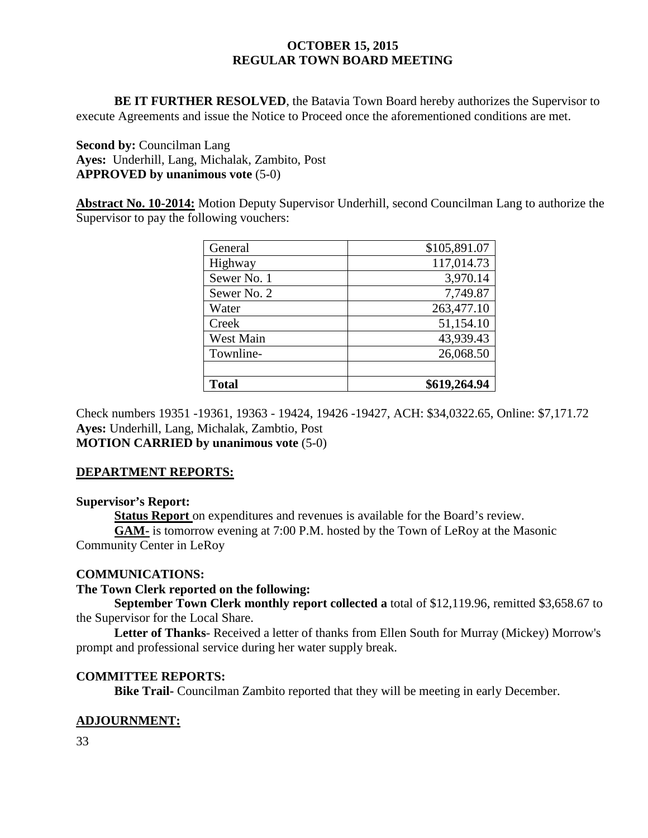**BE IT FURTHER RESOLVED**, the Batavia Town Board hereby authorizes the Supervisor to execute Agreements and issue the Notice to Proceed once the aforementioned conditions are met.

**Second by:** Councilman Lang **Ayes:** Underhill, Lang, Michalak, Zambito, Post **APPROVED by unanimous vote** (5-0)

**Abstract No. 10-2014:** Motion Deputy Supervisor Underhill, second Councilman Lang to authorize the Supervisor to pay the following vouchers:

| General      | \$105,891.07 |
|--------------|--------------|
| Highway      | 117,014.73   |
| Sewer No. 1  | 3,970.14     |
| Sewer No. 2  | 7,749.87     |
| Water        | 263,477.10   |
| Creek        | 51,154.10    |
| West Main    | 43,939.43    |
| Townline-    | 26,068.50    |
|              |              |
| <b>Total</b> | \$619,264.94 |

Check numbers 19351 -19361, 19363 - 19424, 19426 -19427, ACH: \$34,0322.65, Online: \$7,171.72 **Ayes:** Underhill, Lang, Michalak, Zambtio, Post **MOTION CARRIED by unanimous vote** (5-0)

# **DEPARTMENT REPORTS:**

# **Supervisor's Report:**

**Status Report** on expenditures and revenues is available for the Board's review.

**GAM-** is tomorrow evening at 7:00 P.M. hosted by the Town of LeRoy at the Masonic Community Center in LeRoy

# **COMMUNICATIONS:**

# **The Town Clerk reported on the following:**

**September Town Clerk monthly report collected a** total of \$12,119.96, remitted \$3,658.67 to the Supervisor for the Local Share.

**Letter of Thanks**- Received a letter of thanks from Ellen South for Murray (Mickey) Morrow's prompt and professional service during her water supply break.

# **COMMITTEE REPORTS:**

**Bike Trail-** Councilman Zambito reported that they will be meeting in early December.

# **ADJOURNMENT:**

33